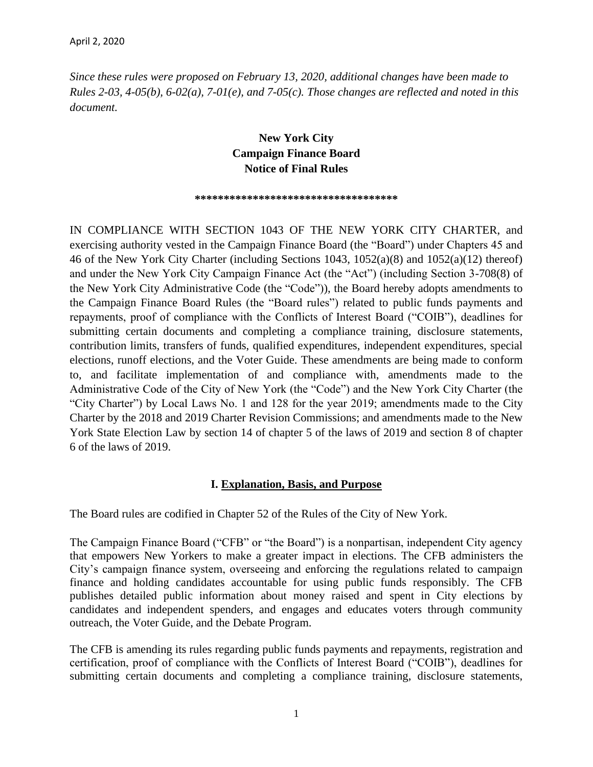*Since these rules were proposed on February 13, 2020, additional changes have been made to Rules 2-03, 4-05(b), 6-02(a), 7-01(e), and 7-05(c). Those changes are reflected and noted in this document.*

## **New York City Campaign Finance Board Notice of Final Rules**

#### **\*\*\*\*\*\*\*\*\*\*\*\*\*\*\*\*\*\*\*\*\*\*\*\*\*\*\*\*\*\*\*\*\*\*\***

IN COMPLIANCE WITH SECTION 1043 OF THE NEW YORK CITY CHARTER, and exercising authority vested in the Campaign Finance Board (the "Board") under Chapters 45 and 46 of the New York City Charter (including Sections 1043, 1052(a)(8) and 1052(a)(12) thereof) and under the New York City Campaign Finance Act (the "Act") (including Section 3-708(8) of the New York City Administrative Code (the "Code")), the Board hereby adopts amendments to the Campaign Finance Board Rules (the "Board rules") related to public funds payments and repayments, proof of compliance with the Conflicts of Interest Board ("COIB"), deadlines for submitting certain documents and completing a compliance training, disclosure statements, contribution limits, transfers of funds, qualified expenditures, independent expenditures, special elections, runoff elections, and the Voter Guide. These amendments are being made to conform to, and facilitate implementation of and compliance with, amendments made to the Administrative Code of the City of New York (the "Code") and the New York City Charter (the "City Charter") by Local Laws No. 1 and 128 for the year 2019; amendments made to the City Charter by the 2018 and 2019 Charter Revision Commissions; and amendments made to the New York State Election Law by section 14 of chapter 5 of the laws of 2019 and section 8 of chapter 6 of the laws of 2019.

#### **I. Explanation, Basis, and Purpose**

The Board rules are codified in Chapter 52 of the Rules of the City of New York.

The Campaign Finance Board ("CFB" or "the Board") is a nonpartisan, independent City agency that empowers New Yorkers to make a greater impact in elections. The CFB administers the City's campaign finance system, overseeing and enforcing the regulations related to campaign finance and holding candidates accountable for using public funds responsibly. The CFB publishes detailed public information about money raised and spent in City elections by candidates and independent spenders, and engages and educates voters through community outreach, the Voter Guide, and the Debate Program.

The CFB is amending its rules regarding public funds payments and repayments, registration and certification, proof of compliance with the Conflicts of Interest Board ("COIB"), deadlines for submitting certain documents and completing a compliance training, disclosure statements,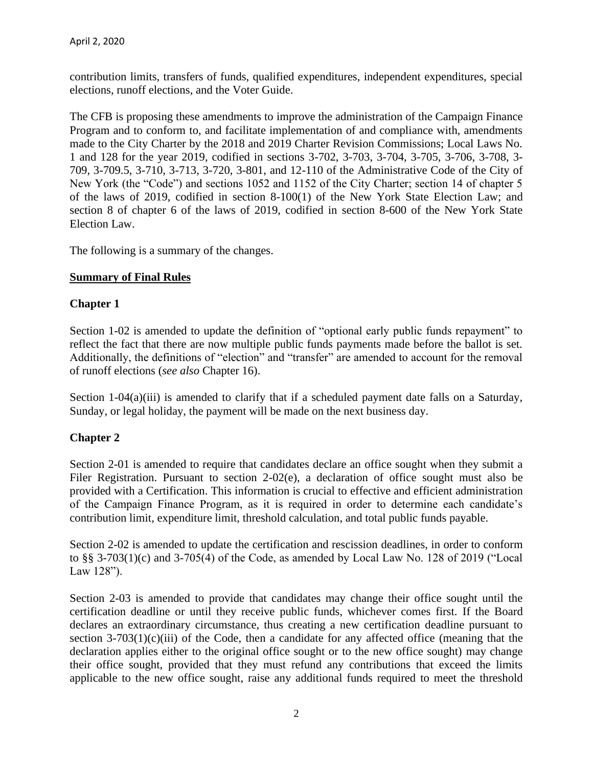contribution limits, transfers of funds, qualified expenditures, independent expenditures, special elections, runoff elections, and the Voter Guide.

The CFB is proposing these amendments to improve the administration of the Campaign Finance Program and to conform to, and facilitate implementation of and compliance with, amendments made to the City Charter by the 2018 and 2019 Charter Revision Commissions; Local Laws No. 1 and 128 for the year 2019, codified in sections 3-702, 3-703, 3-704, 3-705, 3-706, 3-708, 3- 709, 3-709.5, 3-710, 3-713, 3-720, 3-801, and 12-110 of the Administrative Code of the City of New York (the "Code") and sections 1052 and 1152 of the City Charter; section 14 of chapter 5 of the laws of 2019, codified in section 8-100(1) of the New York State Election Law; and section 8 of chapter 6 of the laws of 2019, codified in section 8-600 of the New York State Election Law.

The following is a summary of the changes.

### **Summary of Final Rules**

### **Chapter 1**

Section 1-02 is amended to update the definition of "optional early public funds repayment" to reflect the fact that there are now multiple public funds payments made before the ballot is set. Additionally, the definitions of "election" and "transfer" are amended to account for the removal of runoff elections (*see also* Chapter 16).

Section  $1-04(a)(iii)$  is amended to clarify that if a scheduled payment date falls on a Saturday, Sunday, or legal holiday, the payment will be made on the next business day.

## **Chapter 2**

Section 2-01 is amended to require that candidates declare an office sought when they submit a Filer Registration. Pursuant to section 2-02(e), a declaration of office sought must also be provided with a Certification. This information is crucial to effective and efficient administration of the Campaign Finance Program, as it is required in order to determine each candidate's contribution limit, expenditure limit, threshold calculation, and total public funds payable.

Section 2-02 is amended to update the certification and rescission deadlines, in order to conform to §§ 3-703(1)(c) and 3-705(4) of the Code, as amended by Local Law No. 128 of 2019 ("Local Law 128").

Section 2-03 is amended to provide that candidates may change their office sought until the certification deadline or until they receive public funds, whichever comes first. If the Board declares an extraordinary circumstance, thus creating a new certification deadline pursuant to section  $3-703(1)(c)(iii)$  of the Code, then a candidate for any affected office (meaning that the declaration applies either to the original office sought or to the new office sought) may change their office sought, provided that they must refund any contributions that exceed the limits applicable to the new office sought, raise any additional funds required to meet the threshold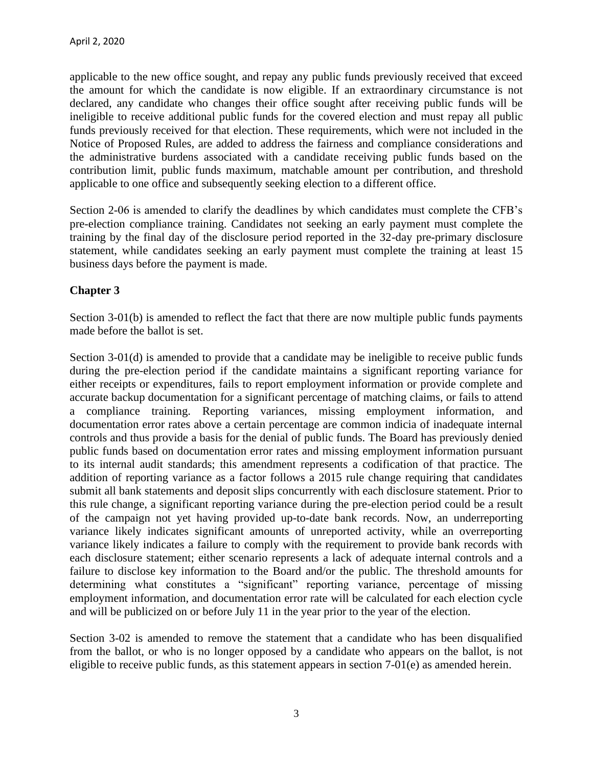applicable to the new office sought, and repay any public funds previously received that exceed the amount for which the candidate is now eligible. If an extraordinary circumstance is not declared, any candidate who changes their office sought after receiving public funds will be ineligible to receive additional public funds for the covered election and must repay all public funds previously received for that election. These requirements, which were not included in the Notice of Proposed Rules, are added to address the fairness and compliance considerations and the administrative burdens associated with a candidate receiving public funds based on the contribution limit, public funds maximum, matchable amount per contribution, and threshold applicable to one office and subsequently seeking election to a different office.

Section 2-06 is amended to clarify the deadlines by which candidates must complete the CFB's pre-election compliance training. Candidates not seeking an early payment must complete the training by the final day of the disclosure period reported in the 32-day pre-primary disclosure statement, while candidates seeking an early payment must complete the training at least 15 business days before the payment is made.

## **Chapter 3**

Section 3-01(b) is amended to reflect the fact that there are now multiple public funds payments made before the ballot is set.

Section 3-01(d) is amended to provide that a candidate may be ineligible to receive public funds during the pre-election period if the candidate maintains a significant reporting variance for either receipts or expenditures, fails to report employment information or provide complete and accurate backup documentation for a significant percentage of matching claims, or fails to attend a compliance training. Reporting variances, missing employment information, and documentation error rates above a certain percentage are common indicia of inadequate internal controls and thus provide a basis for the denial of public funds. The Board has previously denied public funds based on documentation error rates and missing employment information pursuant to its internal audit standards; this amendment represents a codification of that practice. The addition of reporting variance as a factor follows a 2015 rule change requiring that candidates submit all bank statements and deposit slips concurrently with each disclosure statement. Prior to this rule change, a significant reporting variance during the pre-election period could be a result of the campaign not yet having provided up-to-date bank records. Now, an underreporting variance likely indicates significant amounts of unreported activity, while an overreporting variance likely indicates a failure to comply with the requirement to provide bank records with each disclosure statement; either scenario represents a lack of adequate internal controls and a failure to disclose key information to the Board and/or the public. The threshold amounts for determining what constitutes a "significant" reporting variance, percentage of missing employment information, and documentation error rate will be calculated for each election cycle and will be publicized on or before July 11 in the year prior to the year of the election.

Section 3-02 is amended to remove the statement that a candidate who has been disqualified from the ballot, or who is no longer opposed by a candidate who appears on the ballot, is not eligible to receive public funds, as this statement appears in section 7-01(e) as amended herein.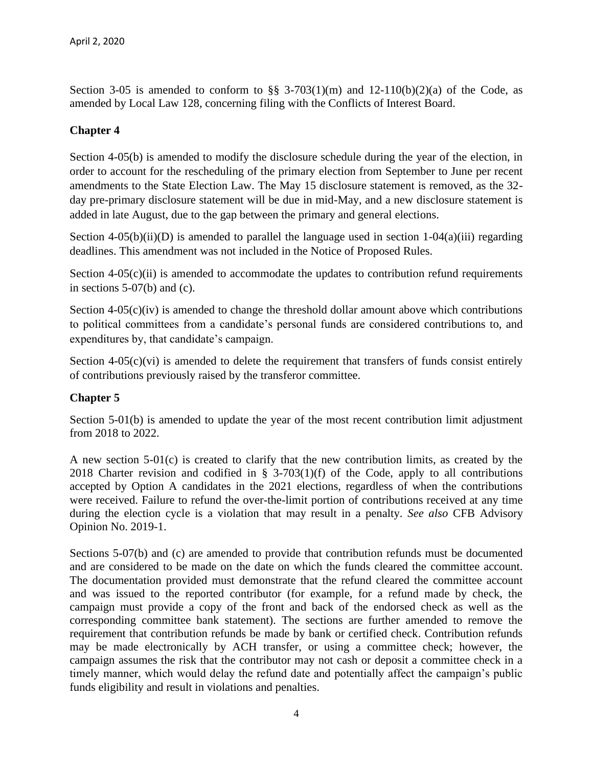Section 3-05 is amended to conform to  $\S$ § 3-703(1)(m) and 12-110(b)(2)(a) of the Code, as amended by Local Law 128, concerning filing with the Conflicts of Interest Board.

## **Chapter 4**

Section 4-05(b) is amended to modify the disclosure schedule during the year of the election, in order to account for the rescheduling of the primary election from September to June per recent amendments to the State Election Law. The May 15 disclosure statement is removed, as the 32 day pre-primary disclosure statement will be due in mid-May, and a new disclosure statement is added in late August, due to the gap between the primary and general elections.

Section 4-05(b)(ii)(D) is amended to parallel the language used in section  $1-04(a)$ (iii) regarding deadlines. This amendment was not included in the Notice of Proposed Rules.

Section  $4-05(c)$ (ii) is amended to accommodate the updates to contribution refund requirements in sections  $5-07(b)$  and (c).

Section  $4-05(c)(iv)$  is amended to change the threshold dollar amount above which contributions to political committees from a candidate's personal funds are considered contributions to, and expenditures by, that candidate's campaign.

Section  $4-05(c)(vi)$  is amended to delete the requirement that transfers of funds consist entirely of contributions previously raised by the transferor committee.

## **Chapter 5**

Section 5-01(b) is amended to update the year of the most recent contribution limit adjustment from 2018 to 2022.

A new section 5-01(c) is created to clarify that the new contribution limits, as created by the 2018 Charter revision and codified in  $\S$  3-703(1)(f) of the Code, apply to all contributions accepted by Option A candidates in the 2021 elections, regardless of when the contributions were received. Failure to refund the over-the-limit portion of contributions received at any time during the election cycle is a violation that may result in a penalty. *See also* CFB Advisory Opinion No. 2019-1.

Sections 5-07(b) and (c) are amended to provide that contribution refunds must be documented and are considered to be made on the date on which the funds cleared the committee account. The documentation provided must demonstrate that the refund cleared the committee account and was issued to the reported contributor (for example, for a refund made by check, the campaign must provide a copy of the front and back of the endorsed check as well as the corresponding committee bank statement). The sections are further amended to remove the requirement that contribution refunds be made by bank or certified check. Contribution refunds may be made electronically by ACH transfer, or using a committee check; however, the campaign assumes the risk that the contributor may not cash or deposit a committee check in a timely manner, which would delay the refund date and potentially affect the campaign's public funds eligibility and result in violations and penalties.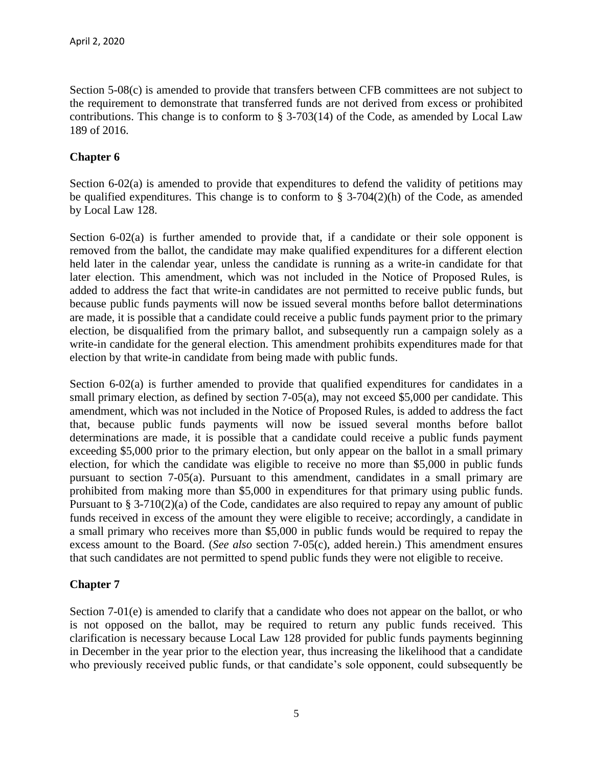Section 5-08(c) is amended to provide that transfers between CFB committees are not subject to the requirement to demonstrate that transferred funds are not derived from excess or prohibited contributions. This change is to conform to § 3-703(14) of the Code, as amended by Local Law 189 of 2016.

## **Chapter 6**

Section 6-02(a) is amended to provide that expenditures to defend the validity of petitions may be qualified expenditures. This change is to conform to § 3-704(2)(h) of the Code, as amended by Local Law 128.

Section 6-02(a) is further amended to provide that, if a candidate or their sole opponent is removed from the ballot, the candidate may make qualified expenditures for a different election held later in the calendar year, unless the candidate is running as a write-in candidate for that later election. This amendment, which was not included in the Notice of Proposed Rules, is added to address the fact that write-in candidates are not permitted to receive public funds, but because public funds payments will now be issued several months before ballot determinations are made, it is possible that a candidate could receive a public funds payment prior to the primary election, be disqualified from the primary ballot, and subsequently run a campaign solely as a write-in candidate for the general election. This amendment prohibits expenditures made for that election by that write-in candidate from being made with public funds.

Section 6-02(a) is further amended to provide that qualified expenditures for candidates in a small primary election, as defined by section 7-05(a), may not exceed \$5,000 per candidate. This amendment, which was not included in the Notice of Proposed Rules, is added to address the fact that, because public funds payments will now be issued several months before ballot determinations are made, it is possible that a candidate could receive a public funds payment exceeding \$5,000 prior to the primary election, but only appear on the ballot in a small primary election, for which the candidate was eligible to receive no more than \$5,000 in public funds pursuant to section 7-05(a). Pursuant to this amendment, candidates in a small primary are prohibited from making more than \$5,000 in expenditures for that primary using public funds. Pursuant to § 3-710(2)(a) of the Code, candidates are also required to repay any amount of public funds received in excess of the amount they were eligible to receive; accordingly, a candidate in a small primary who receives more than \$5,000 in public funds would be required to repay the excess amount to the Board. (*See also* section 7-05(c), added herein.) This amendment ensures that such candidates are not permitted to spend public funds they were not eligible to receive.

## **Chapter 7**

Section 7-01(e) is amended to clarify that a candidate who does not appear on the ballot, or who is not opposed on the ballot, may be required to return any public funds received. This clarification is necessary because Local Law 128 provided for public funds payments beginning in December in the year prior to the election year, thus increasing the likelihood that a candidate who previously received public funds, or that candidate's sole opponent, could subsequently be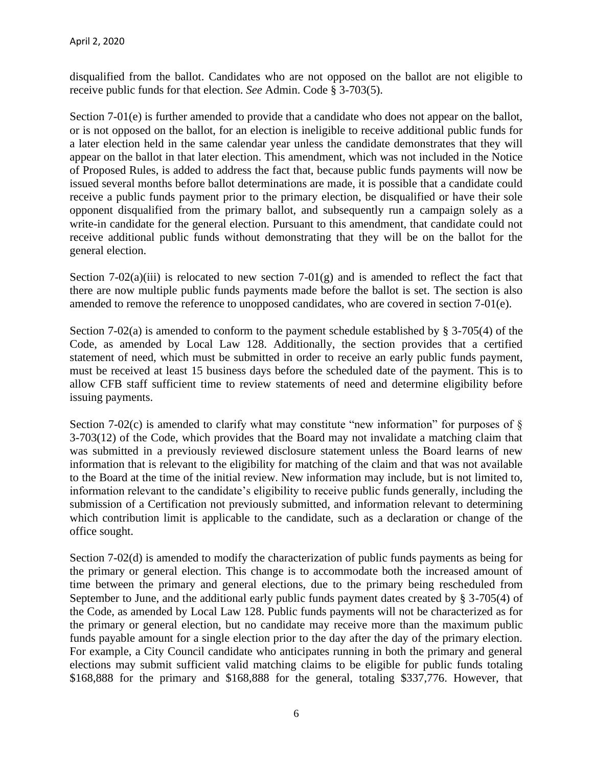disqualified from the ballot. Candidates who are not opposed on the ballot are not eligible to receive public funds for that election. *See* Admin. Code § 3-703(5).

Section 7-01(e) is further amended to provide that a candidate who does not appear on the ballot, or is not opposed on the ballot, for an election is ineligible to receive additional public funds for a later election held in the same calendar year unless the candidate demonstrates that they will appear on the ballot in that later election. This amendment, which was not included in the Notice of Proposed Rules, is added to address the fact that, because public funds payments will now be issued several months before ballot determinations are made, it is possible that a candidate could receive a public funds payment prior to the primary election, be disqualified or have their sole opponent disqualified from the primary ballot, and subsequently run a campaign solely as a write-in candidate for the general election. Pursuant to this amendment, that candidate could not receive additional public funds without demonstrating that they will be on the ballot for the general election.

Section 7-02(a)(iii) is relocated to new section 7-01(g) and is amended to reflect the fact that there are now multiple public funds payments made before the ballot is set. The section is also amended to remove the reference to unopposed candidates, who are covered in section 7-01(e).

Section 7-02(a) is amended to conform to the payment schedule established by § 3-705(4) of the Code, as amended by Local Law 128. Additionally, the section provides that a certified statement of need, which must be submitted in order to receive an early public funds payment, must be received at least 15 business days before the scheduled date of the payment. This is to allow CFB staff sufficient time to review statements of need and determine eligibility before issuing payments.

Section 7-02(c) is amended to clarify what may constitute "new information" for purposes of  $\S$ 3-703(12) of the Code, which provides that the Board may not invalidate a matching claim that was submitted in a previously reviewed disclosure statement unless the Board learns of new information that is relevant to the eligibility for matching of the claim and that was not available to the Board at the time of the initial review. New information may include, but is not limited to, information relevant to the candidate's eligibility to receive public funds generally, including the submission of a Certification not previously submitted, and information relevant to determining which contribution limit is applicable to the candidate, such as a declaration or change of the office sought.

Section 7-02(d) is amended to modify the characterization of public funds payments as being for the primary or general election. This change is to accommodate both the increased amount of time between the primary and general elections, due to the primary being rescheduled from September to June, and the additional early public funds payment dates created by § 3-705(4) of the Code, as amended by Local Law 128. Public funds payments will not be characterized as for the primary or general election, but no candidate may receive more than the maximum public funds payable amount for a single election prior to the day after the day of the primary election. For example, a City Council candidate who anticipates running in both the primary and general elections may submit sufficient valid matching claims to be eligible for public funds totaling \$168,888 for the primary and \$168,888 for the general, totaling \$337,776. However, that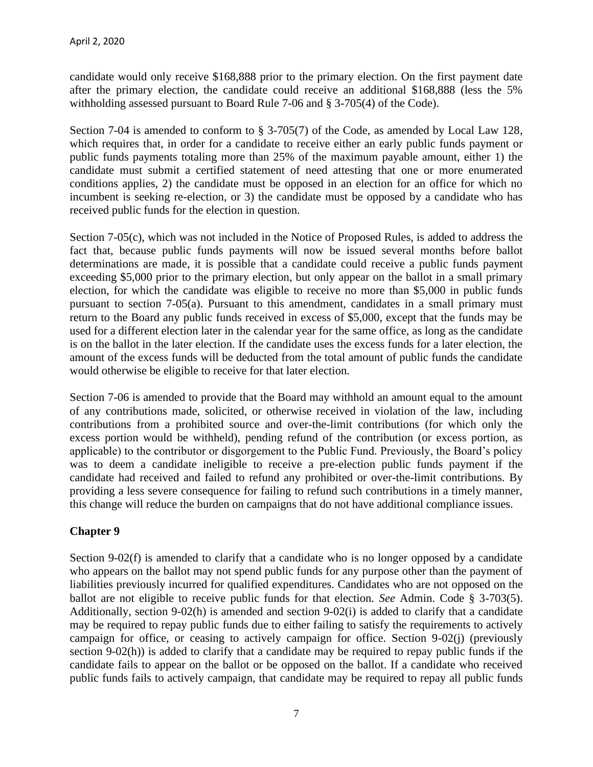candidate would only receive \$168,888 prior to the primary election. On the first payment date after the primary election, the candidate could receive an additional \$168,888 (less the 5% withholding assessed pursuant to Board Rule 7-06 and § 3-705(4) of the Code).

Section 7-04 is amended to conform to § 3-705(7) of the Code, as amended by Local Law 128, which requires that, in order for a candidate to receive either an early public funds payment or public funds payments totaling more than 25% of the maximum payable amount, either 1) the candidate must submit a certified statement of need attesting that one or more enumerated conditions applies, 2) the candidate must be opposed in an election for an office for which no incumbent is seeking re-election, or 3) the candidate must be opposed by a candidate who has received public funds for the election in question.

Section 7-05(c), which was not included in the Notice of Proposed Rules, is added to address the fact that, because public funds payments will now be issued several months before ballot determinations are made, it is possible that a candidate could receive a public funds payment exceeding \$5,000 prior to the primary election, but only appear on the ballot in a small primary election, for which the candidate was eligible to receive no more than \$5,000 in public funds pursuant to section 7-05(a). Pursuant to this amendment, candidates in a small primary must return to the Board any public funds received in excess of \$5,000, except that the funds may be used for a different election later in the calendar year for the same office, as long as the candidate is on the ballot in the later election. If the candidate uses the excess funds for a later election, the amount of the excess funds will be deducted from the total amount of public funds the candidate would otherwise be eligible to receive for that later election.

Section 7-06 is amended to provide that the Board may withhold an amount equal to the amount of any contributions made, solicited, or otherwise received in violation of the law, including contributions from a prohibited source and over-the-limit contributions (for which only the excess portion would be withheld), pending refund of the contribution (or excess portion, as applicable) to the contributor or disgorgement to the Public Fund. Previously, the Board's policy was to deem a candidate ineligible to receive a pre-election public funds payment if the candidate had received and failed to refund any prohibited or over-the-limit contributions. By providing a less severe consequence for failing to refund such contributions in a timely manner, this change will reduce the burden on campaigns that do not have additional compliance issues.

## **Chapter 9**

Section 9-02(f) is amended to clarify that a candidate who is no longer opposed by a candidate who appears on the ballot may not spend public funds for any purpose other than the payment of liabilities previously incurred for qualified expenditures. Candidates who are not opposed on the ballot are not eligible to receive public funds for that election. *See* Admin. Code § 3-703(5). Additionally, section 9-02(h) is amended and section 9-02(i) is added to clarify that a candidate may be required to repay public funds due to either failing to satisfy the requirements to actively campaign for office, or ceasing to actively campaign for office. Section 9-02(j) (previously section 9-02(h)) is added to clarify that a candidate may be required to repay public funds if the candidate fails to appear on the ballot or be opposed on the ballot. If a candidate who received public funds fails to actively campaign, that candidate may be required to repay all public funds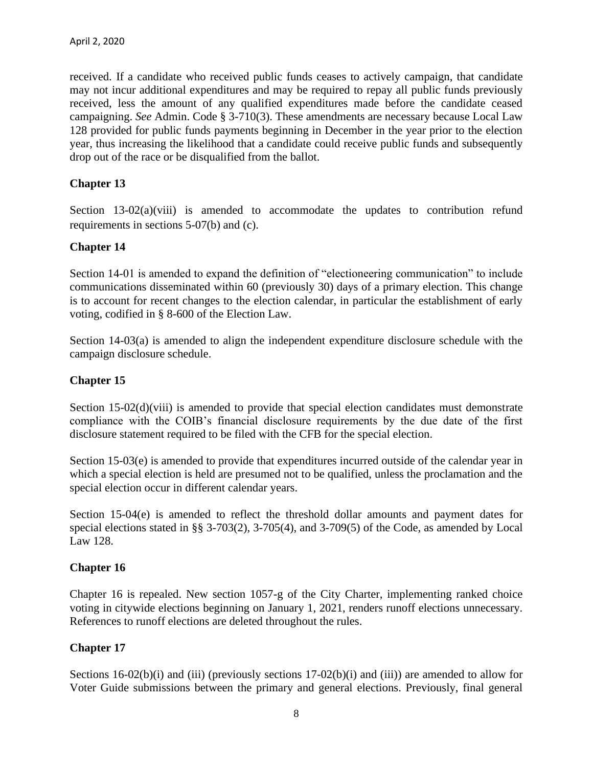received. If a candidate who received public funds ceases to actively campaign, that candidate may not incur additional expenditures and may be required to repay all public funds previously received, less the amount of any qualified expenditures made before the candidate ceased campaigning. *See* Admin. Code § 3-710(3). These amendments are necessary because Local Law 128 provided for public funds payments beginning in December in the year prior to the election year, thus increasing the likelihood that a candidate could receive public funds and subsequently drop out of the race or be disqualified from the ballot.

### **Chapter 13**

Section 13-02(a)(viii) is amended to accommodate the updates to contribution refund requirements in sections 5-07(b) and (c).

#### **Chapter 14**

Section 14-01 is amended to expand the definition of "electioneering communication" to include communications disseminated within 60 (previously 30) days of a primary election. This change is to account for recent changes to the election calendar, in particular the establishment of early voting, codified in § 8-600 of the Election Law.

Section 14-03(a) is amended to align the independent expenditure disclosure schedule with the campaign disclosure schedule.

### **Chapter 15**

Section 15-02(d)(viii) is amended to provide that special election candidates must demonstrate compliance with the COIB's financial disclosure requirements by the due date of the first disclosure statement required to be filed with the CFB for the special election.

Section 15-03(e) is amended to provide that expenditures incurred outside of the calendar year in which a special election is held are presumed not to be qualified, unless the proclamation and the special election occur in different calendar years.

Section 15-04(e) is amended to reflect the threshold dollar amounts and payment dates for special elections stated in §§ 3-703(2), 3-705(4), and 3-709(5) of the Code, as amended by Local Law 128.

#### **Chapter 16**

Chapter 16 is repealed. New section 1057-g of the City Charter, implementing ranked choice voting in citywide elections beginning on January 1, 2021, renders runoff elections unnecessary. References to runoff elections are deleted throughout the rules.

#### **Chapter 17**

Sections 16-02(b)(i) and (iii) (previously sections 17-02(b)(i) and (iii)) are amended to allow for Voter Guide submissions between the primary and general elections. Previously, final general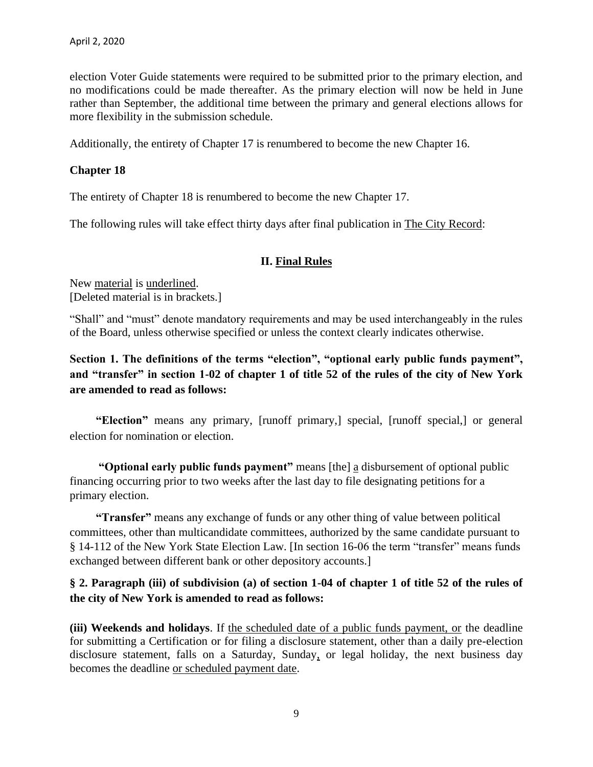election Voter Guide statements were required to be submitted prior to the primary election, and no modifications could be made thereafter. As the primary election will now be held in June rather than September, the additional time between the primary and general elections allows for more flexibility in the submission schedule.

Additionally, the entirety of Chapter 17 is renumbered to become the new Chapter 16.

## **Chapter 18**

The entirety of Chapter 18 is renumbered to become the new Chapter 17.

The following rules will take effect thirty days after final publication in The City Record:

## **II. Final Rules**

New material is underlined. [Deleted material is in brackets.]

"Shall" and "must" denote mandatory requirements and may be used interchangeably in the rules of the Board, unless otherwise specified or unless the context clearly indicates otherwise.

## **Section 1. The definitions of the terms "election", "optional early public funds payment", and "transfer" in section 1-02 of chapter 1 of title 52 of the rules of the city of New York are amended to read as follows:**

**"Election"** means any primary, [runoff primary,] special, [runoff special,] or general election for nomination or election.

**"Optional early public funds payment"** means [the] a disbursement of optional public financing occurring prior to two weeks after the last day to file designating petitions for a primary election.

**"Transfer"** means any exchange of funds or any other thing of value between political committees, other than multicandidate committees, authorized by the same candidate pursuant to § 14-112 of the New York State Election Law. [In section 16-06 the term "transfer" means funds exchanged between different bank or other depository accounts.]

## **§ 2. Paragraph (iii) of subdivision (a) of section 1-04 of chapter 1 of title 52 of the rules of the city of New York is amended to read as follows:**

**(iii) Weekends and holidays**. If the scheduled date of a public funds payment, or the deadline for submitting a Certification or for filing a disclosure statement, other than a daily pre-election disclosure statement, falls on a Saturday, Sunday, or legal holiday, the next business day becomes the deadline or scheduled payment date.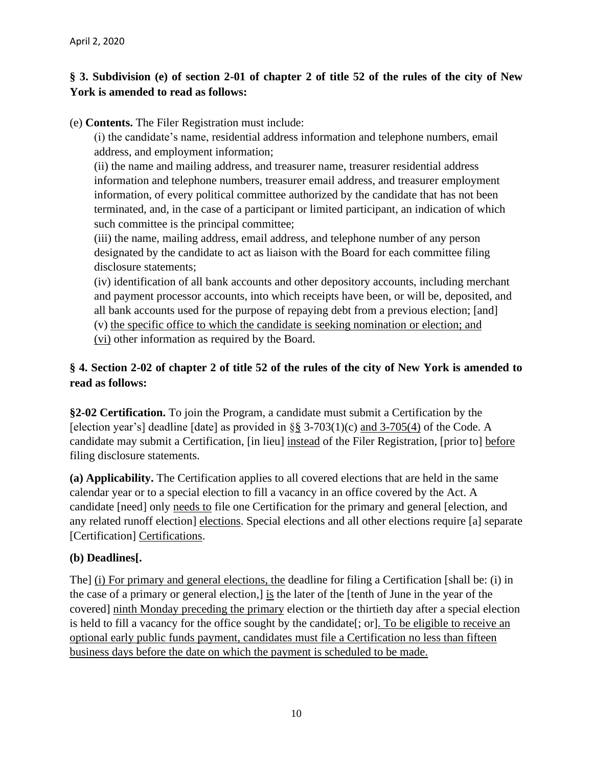## **§ 3. Subdivision (e) of section 2-01 of chapter 2 of title 52 of the rules of the city of New York is amended to read as follows:**

(e) **Contents.** The Filer Registration must include:

(i) the candidate's name, residential address information and telephone numbers, email address, and employment information;

(ii) the name and mailing address, and treasurer name, treasurer residential address information and telephone numbers, treasurer email address, and treasurer employment information, of every political committee authorized by the candidate that has not been terminated, and, in the case of a participant or limited participant, an indication of which such committee is the principal committee;

(iii) the name, mailing address, email address, and telephone number of any person designated by the candidate to act as liaison with the Board for each committee filing disclosure statements;

(iv) identification of all bank accounts and other depository accounts, including merchant and payment processor accounts, into which receipts have been, or will be, deposited, and all bank accounts used for the purpose of repaying debt from a previous election; [and] (v) the specific office to which the candidate is seeking nomination or election; and (vi) other information as required by the Board.

# **§ 4. Section 2-02 of chapter 2 of title 52 of the rules of the city of New York is amended to read as follows:**

**§2-02 Certification.** To join the Program, a candidate must submit a Certification by the [election year's] deadline [date] as provided in  $\S$ § 3-703(1)(c) and 3-705(4) of the Code. A candidate may submit a Certification, [in lieu] instead of the Filer Registration, [prior to] before filing disclosure statements.

**(a) Applicability.** The Certification applies to all covered elections that are held in the same calendar year or to a special election to fill a vacancy in an office covered by the Act. A candidate [need] only needs to file one Certification for the primary and general [election, and any related runoff election] elections. Special elections and all other elections require [a] separate [Certification] Certifications.

## **(b) Deadlines[.**

The] (i) For primary and general elections, the deadline for filing a Certification [shall be: (i) in the case of a primary or general election,] is the later of the [tenth of June in the year of the covered] ninth Monday preceding the primary election or the thirtieth day after a special election is held to fill a vacancy for the office sought by the candidate [; or]. To be eligible to receive an optional early public funds payment, candidates must file a Certification no less than fifteen business days before the date on which the payment is scheduled to be made.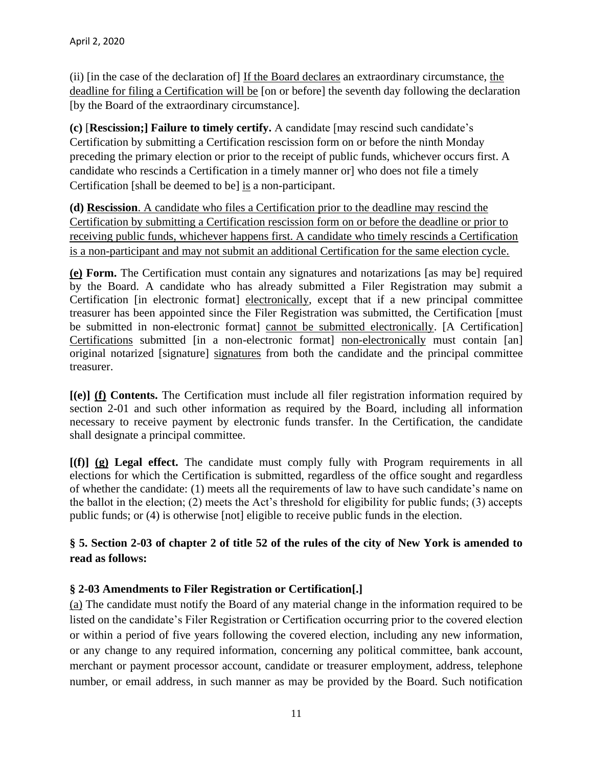(ii) [in the case of the declaration of] If the Board declares an extraordinary circumstance, the deadline for filing a Certification will be [on or before] the seventh day following the declaration [by the Board of the extraordinary circumstance].

**(c)** [**Rescission;] Failure to timely certify.** A candidate [may rescind such candidate's Certification by submitting a Certification rescission form on or before the ninth Monday preceding the primary election or prior to the receipt of public funds, whichever occurs first. A candidate who rescinds a Certification in a timely manner or] who does not file a timely Certification [shall be deemed to be] is a non-participant.

**(d) Rescission**. A candidate who files a Certification prior to the deadline may rescind the Certification by submitting a Certification rescission form on or before the deadline or prior to receiving public funds, whichever happens first. A candidate who timely rescinds a Certification is a non-participant and may not submit an additional Certification for the same election cycle.

**(e) Form.** The Certification must contain any signatures and notarizations [as may be] required by the Board. A candidate who has already submitted a Filer Registration may submit a Certification [in electronic format] electronically, except that if a new principal committee treasurer has been appointed since the Filer Registration was submitted, the Certification [must be submitted in non-electronic format] cannot be submitted electronically. [A Certification] Certifications submitted [in a non-electronic format] non-electronically must contain [an] original notarized [signature] signatures from both the candidate and the principal committee treasurer.

**[(e)] (f) Contents.** The Certification must include all filer registration information required by section 2-01 and such other information as required by the Board, including all information necessary to receive payment by electronic funds transfer. In the Certification, the candidate shall designate a principal committee.

**[(f)] (g) Legal effect.** The candidate must comply fully with Program requirements in all elections for which the Certification is submitted, regardless of the office sought and regardless of whether the candidate: (1) meets all the requirements of law to have such candidate's name on the ballot in the election; (2) meets the Act's threshold for eligibility for public funds; (3) accepts public funds; or (4) is otherwise [not] eligible to receive public funds in the election.

## **§ 5. Section 2-03 of chapter 2 of title 52 of the rules of the city of New York is amended to read as follows:**

## **§ 2-03 Amendments to Filer Registration or Certification[.]**

(a) The candidate must notify the Board of any material change in the information required to be listed on the candidate's Filer Registration or Certification occurring prior to the covered election or within a period of five years following the covered election, including any new information, or any change to any required information, concerning any political committee, bank account, merchant or payment processor account, candidate or treasurer employment, address, telephone number, or email address, in such manner as may be provided by the Board. Such notification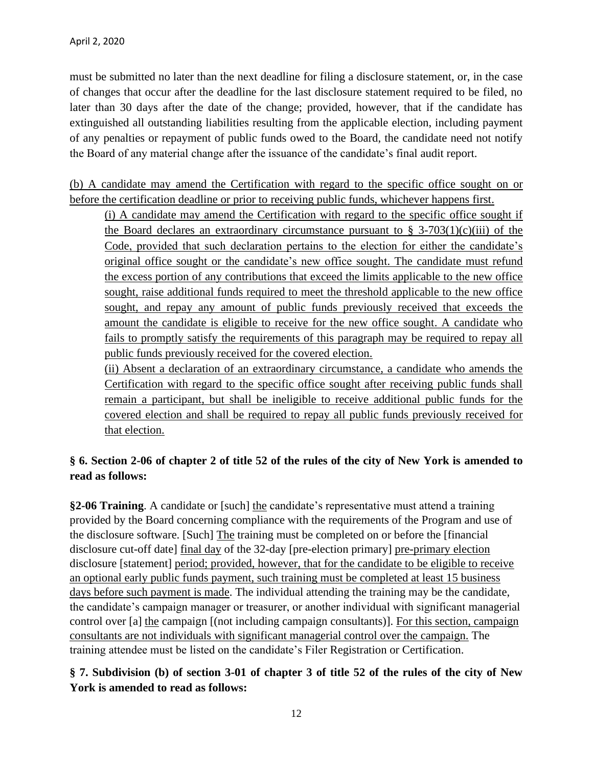must be submitted no later than the next deadline for filing a disclosure statement, or, in the case of changes that occur after the deadline for the last disclosure statement required to be filed, no later than 30 days after the date of the change; provided, however, that if the candidate has extinguished all outstanding liabilities resulting from the applicable election, including payment of any penalties or repayment of public funds owed to the Board, the candidate need not notify the Board of any material change after the issuance of the candidate's final audit report.

(b) A candidate may amend the Certification with regard to the specific office sought on or before the certification deadline or prior to receiving public funds, whichever happens first.

(i) A candidate may amend the Certification with regard to the specific office sought if the Board declares an extraordinary circumstance pursuant to  $\S$  3-703(1)(c)(iii) of the Code, provided that such declaration pertains to the election for either the candidate's original office sought or the candidate's new office sought. The candidate must refund the excess portion of any contributions that exceed the limits applicable to the new office sought, raise additional funds required to meet the threshold applicable to the new office sought, and repay any amount of public funds previously received that exceeds the amount the candidate is eligible to receive for the new office sought. A candidate who fails to promptly satisfy the requirements of this paragraph may be required to repay all public funds previously received for the covered election.

(ii) Absent a declaration of an extraordinary circumstance, a candidate who amends the Certification with regard to the specific office sought after receiving public funds shall remain a participant, but shall be ineligible to receive additional public funds for the covered election and shall be required to repay all public funds previously received for that election.

## **§ 6. Section 2-06 of chapter 2 of title 52 of the rules of the city of New York is amended to read as follows:**

**§2-06 Training**. A candidate or [such] the candidate's representative must attend a training provided by the Board concerning compliance with the requirements of the Program and use of the disclosure software. [Such] The training must be completed on or before the [financial disclosure cut-off date] final day of the 32-day [pre-election primary] pre-primary election disclosure [statement] period; provided, however, that for the candidate to be eligible to receive an optional early public funds payment, such training must be completed at least 15 business days before such payment is made. The individual attending the training may be the candidate, the candidate's campaign manager or treasurer, or another individual with significant managerial control over [a] the campaign [(not including campaign consultants)]. For this section, campaign consultants are not individuals with significant managerial control over the campaign. The training attendee must be listed on the candidate's Filer Registration or Certification.

**§ 7. Subdivision (b) of section 3-01 of chapter 3 of title 52 of the rules of the city of New York is amended to read as follows:**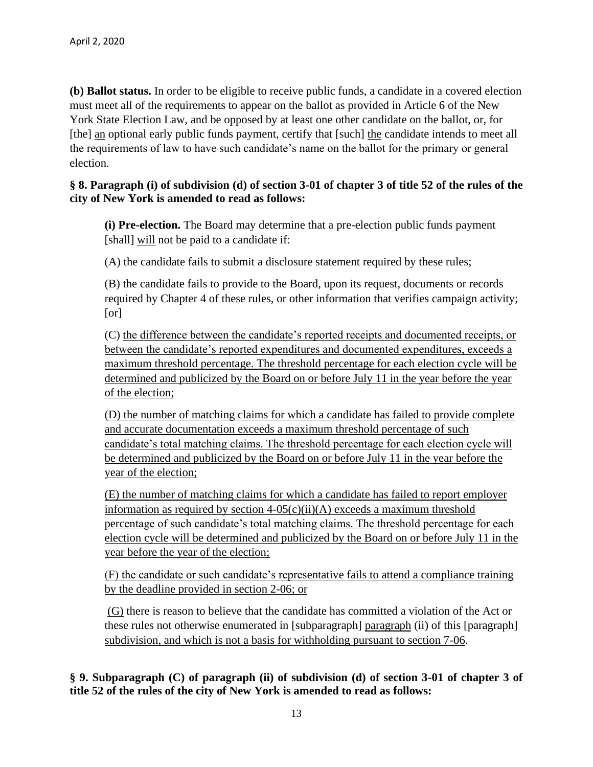**(b) Ballot status.** In order to be eligible to receive public funds, a candidate in a covered election must meet all of the requirements to appear on the ballot as provided in Article 6 of the New York State Election Law, and be opposed by at least one other candidate on the ballot, or, for [the] an optional early public funds payment, certify that [such] the candidate intends to meet all the requirements of law to have such candidate's name on the ballot for the primary or general election.

### **§ 8. Paragraph (i) of subdivision (d) of section 3-01 of chapter 3 of title 52 of the rules of the city of New York is amended to read as follows:**

**(i) Pre-election.** The Board may determine that a pre-election public funds payment [shall] will not be paid to a candidate if:

(A) the candidate fails to submit a disclosure statement required by these rules;

(B) the candidate fails to provide to the Board, upon its request, documents or records required by Chapter 4 of these rules, or other information that verifies campaign activity; [or]

(C) the difference between the candidate's reported receipts and documented receipts, or between the candidate's reported expenditures and documented expenditures, exceeds a maximum threshold percentage. The threshold percentage for each election cycle will be determined and publicized by the Board on or before July 11 in the year before the year of the election;

(D) the number of matching claims for which a candidate has failed to provide complete and accurate documentation exceeds a maximum threshold percentage of such candidate's total matching claims. The threshold percentage for each election cycle will be determined and publicized by the Board on or before July 11 in the year before the year of the election;

(E) the number of matching claims for which a candidate has failed to report employer information as required by section  $4-05(c)(ii)(A)$  exceeds a maximum threshold percentage of such candidate's total matching claims. The threshold percentage for each election cycle will be determined and publicized by the Board on or before July 11 in the year before the year of the election;

(F) the candidate or such candidate's representative fails to attend a compliance training by the deadline provided in section 2-06; or

(G) there is reason to believe that the candidate has committed a violation of the Act or these rules not otherwise enumerated in [subparagraph] paragraph (ii) of this [paragraph] subdivision, and which is not a basis for withholding pursuant to section 7-06.

## **§ 9. Subparagraph (C) of paragraph (ii) of subdivision (d) of section 3-01 of chapter 3 of title 52 of the rules of the city of New York is amended to read as follows:**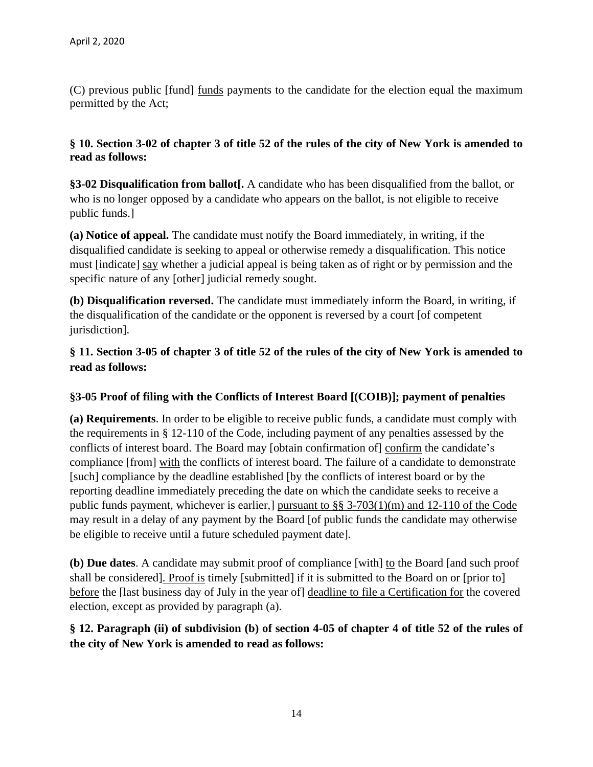(C) previous public [fund] funds payments to the candidate for the election equal the maximum permitted by the Act;

## **§ 10. Section 3-02 of chapter 3 of title 52 of the rules of the city of New York is amended to read as follows:**

**§3-02 Disqualification from ballot[.** A candidate who has been disqualified from the ballot, or who is no longer opposed by a candidate who appears on the ballot, is not eligible to receive public funds.]

**(a) Notice of appeal.** The candidate must notify the Board immediately, in writing, if the disqualified candidate is seeking to appeal or otherwise remedy a disqualification. This notice must [indicate] say whether a judicial appeal is being taken as of right or by permission and the specific nature of any [other] judicial remedy sought.

**(b) Disqualification reversed.** The candidate must immediately inform the Board, in writing, if the disqualification of the candidate or the opponent is reversed by a court [of competent jurisdiction].

**§ 11. Section 3-05 of chapter 3 of title 52 of the rules of the city of New York is amended to read as follows:**

## **§3-05 Proof of filing with the Conflicts of Interest Board [(COIB)]; payment of penalties**

**(a) Requirements**. In order to be eligible to receive public funds, a candidate must comply with the requirements in § 12-110 of the Code, including payment of any penalties assessed by the conflicts of interest board. The Board may [obtain confirmation of] confirm the candidate's compliance [from] with the conflicts of interest board. The failure of a candidate to demonstrate [such] compliance by the deadline established [by the conflicts of interest board or by the reporting deadline immediately preceding the date on which the candidate seeks to receive a public funds payment, whichever is earlier,] pursuant to §§ 3-703(1)(m) and 12-110 of the Code may result in a delay of any payment by the Board [of public funds the candidate may otherwise be eligible to receive until a future scheduled payment date].

**(b) Due dates**. A candidate may submit proof of compliance [with] to the Board [and such proof shall be considered]. Proof is timely [submitted] if it is submitted to the Board on or [prior to] before the [last business day of July in the year of] deadline to file a Certification for the covered election, except as provided by paragraph (a).

## **§ 12. Paragraph (ii) of subdivision (b) of section 4-05 of chapter 4 of title 52 of the rules of the city of New York is amended to read as follows:**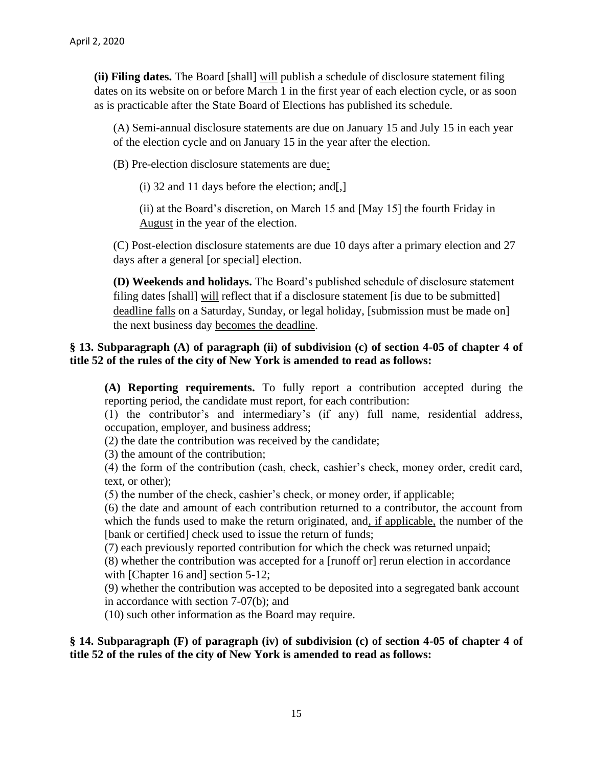**(ii) Filing dates.** The Board [shall] will publish a schedule of disclosure statement filing dates on its website on or before March 1 in the first year of each election cycle, or as soon as is practicable after the State Board of Elections has published its schedule.

(A) Semi-annual disclosure statements are due on January 15 and July 15 in each year of the election cycle and on January 15 in the year after the election.

(B) Pre-election disclosure statements are due:

 $(i)$  32 and 11 days before the election; and [.]

(ii) at the Board's discretion, on March 15 and [May 15] the fourth Friday in August in the year of the election.

(C) Post-election disclosure statements are due 10 days after a primary election and 27 days after a general [or special] election.

**(D) Weekends and holidays.** The Board's published schedule of disclosure statement filing dates [shall] will reflect that if a disclosure statement [is due to be submitted] deadline falls on a Saturday, Sunday, or legal holiday, [submission must be made on] the next business day becomes the deadline.

## **§ 13. Subparagraph (A) of paragraph (ii) of subdivision (c) of section 4-05 of chapter 4 of title 52 of the rules of the city of New York is amended to read as follows:**

**(A) Reporting requirements.** To fully report a contribution accepted during the reporting period, the candidate must report, for each contribution:

(1) the contributor's and intermediary's (if any) full name, residential address, occupation, employer, and business address;

(2) the date the contribution was received by the candidate;

(3) the amount of the contribution;

(4) the form of the contribution (cash, check, cashier's check, money order, credit card, text, or other);

(5) the number of the check, cashier's check, or money order, if applicable;

(6) the date and amount of each contribution returned to a contributor, the account from which the funds used to make the return originated, and, if applicable, the number of the [bank or certified] check used to issue the return of funds;

(7) each previously reported contribution for which the check was returned unpaid;

(8) whether the contribution was accepted for a [runoff or] rerun election in accordance with [Chapter 16 and] section 5-12;

(9) whether the contribution was accepted to be deposited into a segregated bank account in accordance with section 7-07(b); and

(10) such other information as the Board may require.

## **§ 14. Subparagraph (F) of paragraph (iv) of subdivision (c) of section 4-05 of chapter 4 of title 52 of the rules of the city of New York is amended to read as follows:**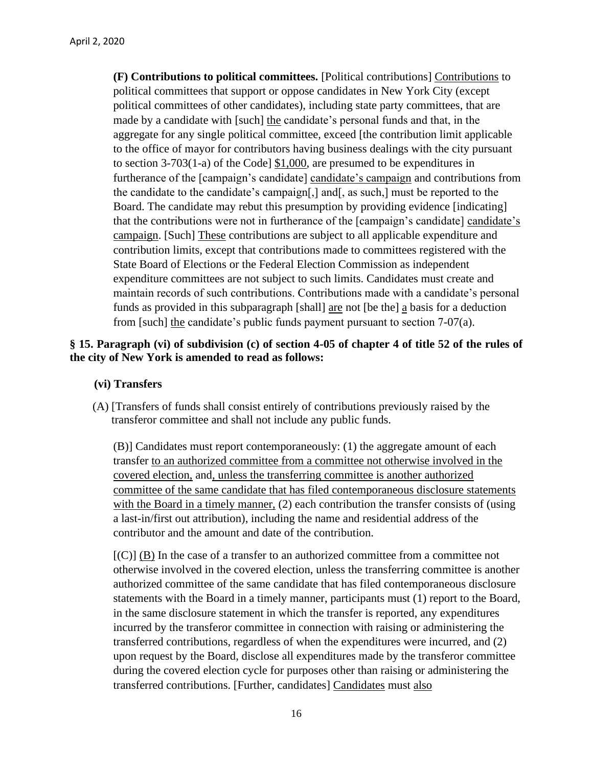**(F) Contributions to political committees.** [Political contributions] Contributions to political committees that support or oppose candidates in New York City (except political committees of other candidates), including state party committees, that are made by a candidate with [such] the candidate's personal funds and that, in the aggregate for any single political committee, exceed [the contribution limit applicable to the office of mayor for contributors having business dealings with the city pursuant to section 3-703(1-a) of the Code] \$1,000, are presumed to be expenditures in furtherance of the [campaign's candidate] candidate's campaign and contributions from the candidate to the candidate's campaign[,] and[, as such,] must be reported to the Board. The candidate may rebut this presumption by providing evidence [indicating] that the contributions were not in furtherance of the [campaign's candidate] candidate's campaign. [Such] These contributions are subject to all applicable expenditure and contribution limits, except that contributions made to committees registered with the State Board of Elections or the Federal Election Commission as independent expenditure committees are not subject to such limits. Candidates must create and maintain records of such contributions. Contributions made with a candidate's personal funds as provided in this subparagraph [shall] are not [be the]  $\alpha$  basis for a deduction from [such] the candidate's public funds payment pursuant to section 7-07(a).

#### **§ 15. Paragraph (vi) of subdivision (c) of section 4-05 of chapter 4 of title 52 of the rules of the city of New York is amended to read as follows:**

#### **(vi) Transfers**

(A) [Transfers of funds shall consist entirely of contributions previously raised by the transferor committee and shall not include any public funds.

(B)] Candidates must report contemporaneously: (1) the aggregate amount of each transfer to an authorized committee from a committee not otherwise involved in the covered election, and, unless the transferring committee is another authorized committee of the same candidate that has filed contemporaneous disclosure statements with the Board in a timely manner, (2) each contribution the transfer consists of (using a last-in/first out attribution), including the name and residential address of the contributor and the amount and date of the contribution.

 $[{\rm (C)}]$  (B) In the case of a transfer to an authorized committee from a committee not otherwise involved in the covered election, unless the transferring committee is another authorized committee of the same candidate that has filed contemporaneous disclosure statements with the Board in a timely manner, participants must (1) report to the Board, in the same disclosure statement in which the transfer is reported, any expenditures incurred by the transferor committee in connection with raising or administering the transferred contributions, regardless of when the expenditures were incurred, and (2) upon request by the Board, disclose all expenditures made by the transferor committee during the covered election cycle for purposes other than raising or administering the transferred contributions. [Further, candidates] Candidates must also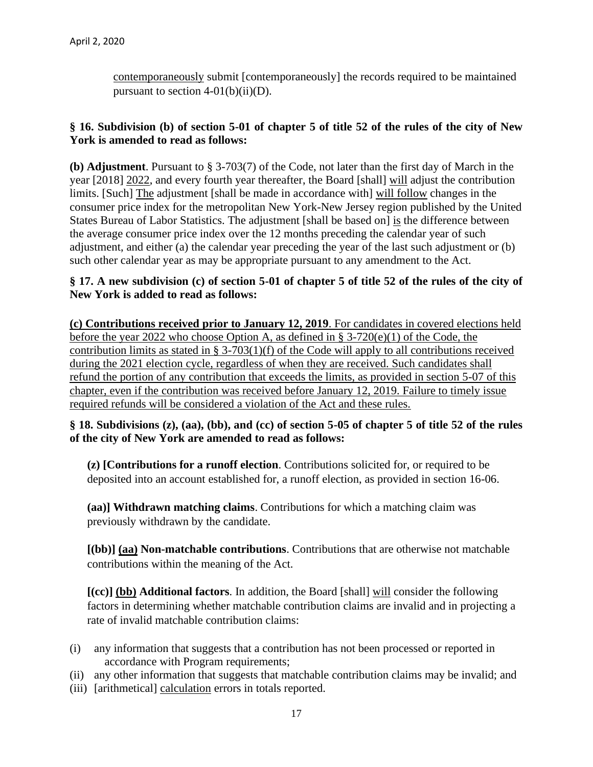contemporaneously submit [contemporaneously] the records required to be maintained pursuant to section  $4-01(b)(ii)(D)$ .

### **§ 16. Subdivision (b) of section 5-01 of chapter 5 of title 52 of the rules of the city of New York is amended to read as follows:**

**(b) Adjustment**. Pursuant to § 3-703(7) of the Code, not later than the first day of March in the year [2018] 2022, and every fourth year thereafter, the Board [shall] will adjust the contribution limits. [Such] The adjustment [shall be made in accordance with] will follow changes in the consumer price index for the metropolitan New York-New Jersey region published by the United States Bureau of Labor Statistics. The adjustment [shall be based on] is the difference between the average consumer price index over the 12 months preceding the calendar year of such adjustment, and either (a) the calendar year preceding the year of the last such adjustment or (b) such other calendar year as may be appropriate pursuant to any amendment to the Act.

#### **§ 17. A new subdivision (c) of section 5-01 of chapter 5 of title 52 of the rules of the city of New York is added to read as follows:**

**(c) Contributions received prior to January 12, 2019**. For candidates in covered elections held before the year 2022 who choose Option A, as defined in § 3-720(e)(1) of the Code, the contribution limits as stated in § 3-703(1)(f) of the Code will apply to all contributions received during the 2021 election cycle, regardless of when they are received. Such candidates shall refund the portion of any contribution that exceeds the limits, as provided in section 5-07 of this chapter, even if the contribution was received before January 12, 2019. Failure to timely issue required refunds will be considered a violation of the Act and these rules.

## **§ 18. Subdivisions (z), (aa), (bb), and (cc) of section 5-05 of chapter 5 of title 52 of the rules of the city of New York are amended to read as follows:**

**(z) [Contributions for a runoff election**. Contributions solicited for, or required to be deposited into an account established for, a runoff election, as provided in section 16-06.

**(aa)] Withdrawn matching claims**. Contributions for which a matching claim was previously withdrawn by the candidate.

**[(bb)] (aa) Non-matchable contributions**. Contributions that are otherwise not matchable contributions within the meaning of the Act.

**[(cc)] (bb) Additional factors**. In addition, the Board [shall] will consider the following factors in determining whether matchable contribution claims are invalid and in projecting a rate of invalid matchable contribution claims:

- (i) any information that suggests that a contribution has not been processed or reported in accordance with Program requirements;
- (ii) any other information that suggests that matchable contribution claims may be invalid; and
- (iii) [arithmetical] calculation errors in totals reported.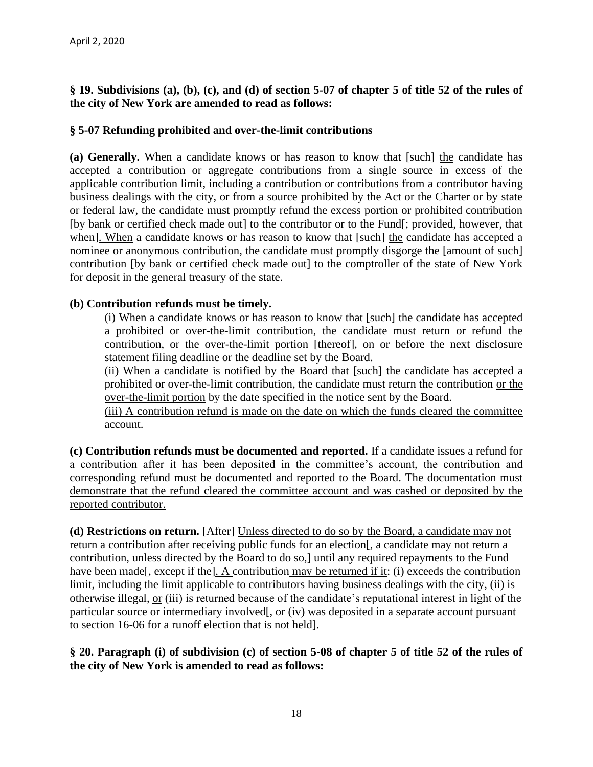## **§ 19. Subdivisions (a), (b), (c), and (d) of section 5-07 of chapter 5 of title 52 of the rules of the city of New York are amended to read as follows:**

## **§ 5-07 Refunding prohibited and over-the-limit contributions**

**(a) Generally.** When a candidate knows or has reason to know that [such] the candidate has accepted a contribution or aggregate contributions from a single source in excess of the applicable contribution limit, including a contribution or contributions from a contributor having business dealings with the city, or from a source prohibited by the Act or the Charter or by state or federal law, the candidate must promptly refund the excess portion or prohibited contribution [by bank or certified check made out] to the contributor or to the Fund[; provided, however, that when]. When a candidate knows or has reason to know that [such] the candidate has accepted a nominee or anonymous contribution, the candidate must promptly disgorge the [amount of such] contribution [by bank or certified check made out] to the comptroller of the state of New York for deposit in the general treasury of the state.

## **(b) Contribution refunds must be timely.**

(i) When a candidate knows or has reason to know that [such] the candidate has accepted a prohibited or over-the-limit contribution, the candidate must return or refund the contribution, or the over-the-limit portion [thereof], on or before the next disclosure statement filing deadline or the deadline set by the Board.

(ii) When a candidate is notified by the Board that [such] the candidate has accepted a prohibited or over-the-limit contribution, the candidate must return the contribution or the over-the-limit portion by the date specified in the notice sent by the Board.

(iii) A contribution refund is made on the date on which the funds cleared the committee account.

**(c) Contribution refunds must be documented and reported.** If a candidate issues a refund for a contribution after it has been deposited in the committee's account, the contribution and corresponding refund must be documented and reported to the Board. The documentation must demonstrate that the refund cleared the committee account and was cashed or deposited by the reported contributor.

**(d) Restrictions on return.** [After] Unless directed to do so by the Board, a candidate may not return a contribution after receiving public funds for an election[, a candidate may not return a contribution, unless directed by the Board to do so,] until any required repayments to the Fund have been made<sup>[</sup>, except if the<sup>[</sup>]. A contribution may be returned if it: (i) exceeds the contribution limit, including the limit applicable to contributors having business dealings with the city, (ii) is otherwise illegal, or (iii) is returned because of the candidate's reputational interest in light of the particular source or intermediary involved[, or (iv) was deposited in a separate account pursuant to section 16-06 for a runoff election that is not held].

## **§ 20. Paragraph (i) of subdivision (c) of section 5-08 of chapter 5 of title 52 of the rules of the city of New York is amended to read as follows:**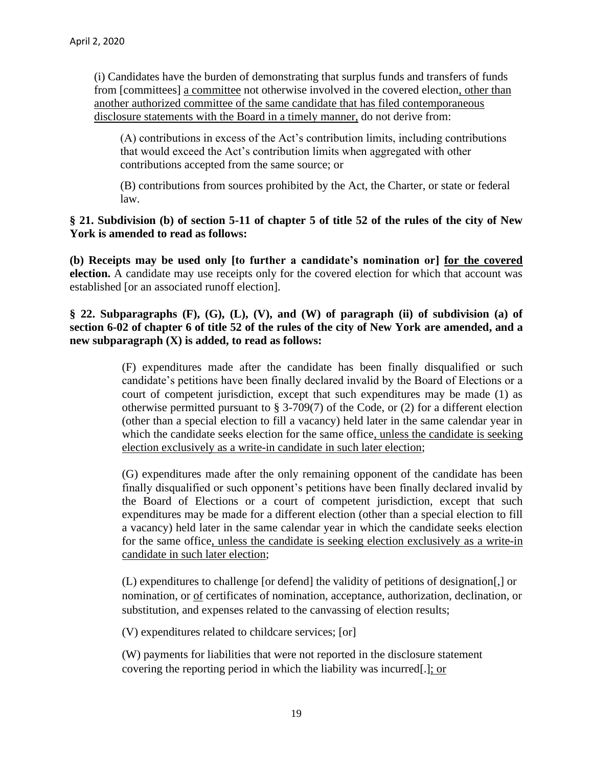(i) Candidates have the burden of demonstrating that surplus funds and transfers of funds from [committees] a committee not otherwise involved in the covered election, other than another authorized committee of the same candidate that has filed contemporaneous disclosure statements with the Board in a timely manner, do not derive from:

(A) contributions in excess of the Act's contribution limits, including contributions that would exceed the Act's contribution limits when aggregated with other contributions accepted from the same source; or

(B) contributions from sources prohibited by the Act, the Charter, or state or federal law.

#### **§ 21. Subdivision (b) of section 5-11 of chapter 5 of title 52 of the rules of the city of New York is amended to read as follows:**

**(b) Receipts may be used only [to further a candidate's nomination or] for the covered election.** A candidate may use receipts only for the covered election for which that account was established [or an associated runoff election].

## **§ 22. Subparagraphs (F), (G), (L), (V), and (W) of paragraph (ii) of subdivision (a) of section 6-02 of chapter 6 of title 52 of the rules of the city of New York are amended, and a new subparagraph (X) is added, to read as follows:**

(F) expenditures made after the candidate has been finally disqualified or such candidate's petitions have been finally declared invalid by the Board of Elections or a court of competent jurisdiction, except that such expenditures may be made (1) as otherwise permitted pursuant to  $\S 3-709(7)$  of the Code, or (2) for a different election (other than a special election to fill a vacancy) held later in the same calendar year in which the candidate seeks election for the same office, unless the candidate is seeking election exclusively as a write-in candidate in such later election;

(G) expenditures made after the only remaining opponent of the candidate has been finally disqualified or such opponent's petitions have been finally declared invalid by the Board of Elections or a court of competent jurisdiction, except that such expenditures may be made for a different election (other than a special election to fill a vacancy) held later in the same calendar year in which the candidate seeks election for the same office, unless the candidate is seeking election exclusively as a write-in candidate in such later election;

(L) expenditures to challenge [or defend] the validity of petitions of designation[,] or nomination, or of certificates of nomination, acceptance, authorization, declination, or substitution, and expenses related to the canvassing of election results;

(V) expenditures related to childcare services; [or]

(W) payments for liabilities that were not reported in the disclosure statement covering the reporting period in which the liability was incurred[.]; or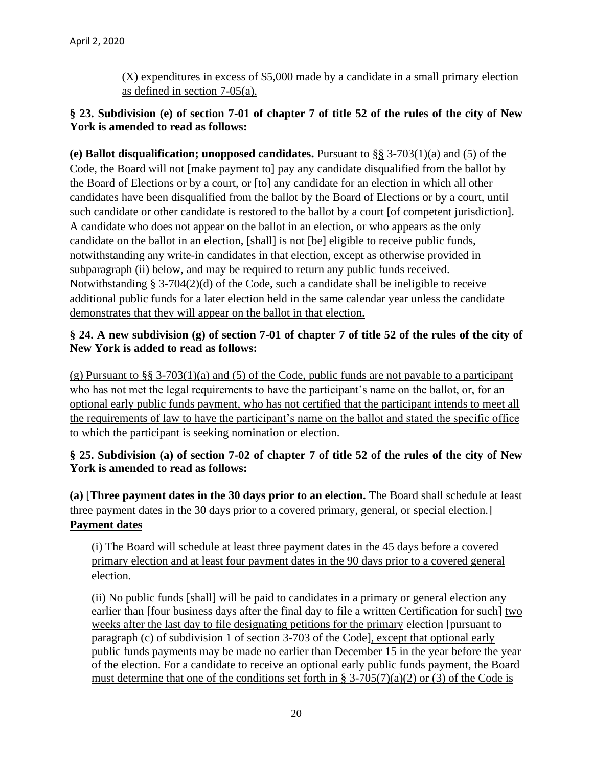(X) expenditures in excess of \$5,000 made by a candidate in a small primary election as defined in section 7-05(a).

## **§ 23. Subdivision (e) of section 7-01 of chapter 7 of title 52 of the rules of the city of New York is amended to read as follows:**

**(e) Ballot disqualification; unopposed candidates.** Pursuant to §§ 3-703(1)(a) and (5) of the Code, the Board will not [make payment to] pay any candidate disqualified from the ballot by the Board of Elections or by a court, or [to] any candidate for an election in which all other candidates have been disqualified from the ballot by the Board of Elections or by a court, until such candidate or other candidate is restored to the ballot by a court [of competent jurisdiction]. A candidate who does not appear on the ballot in an election, or who appears as the only candidate on the ballot in an election, [shall] is not [be] eligible to receive public funds, notwithstanding any write-in candidates in that election, except as otherwise provided in subparagraph (ii) below, and may be required to return any public funds received. Notwithstanding § 3-704(2)(d) of the Code, such a candidate shall be ineligible to receive additional public funds for a later election held in the same calendar year unless the candidate demonstrates that they will appear on the ballot in that election.

## **§ 24. A new subdivision (g) of section 7-01 of chapter 7 of title 52 of the rules of the city of New York is added to read as follows:**

(g) Pursuant to §§ 3-703(1)(a) and (5) of the Code, public funds are not payable to a participant who has not met the legal requirements to have the participant's name on the ballot, or, for an optional early public funds payment, who has not certified that the participant intends to meet all the requirements of law to have the participant's name on the ballot and stated the specific office to which the participant is seeking nomination or election.

## **§ 25. Subdivision (a) of section 7-02 of chapter 7 of title 52 of the rules of the city of New York is amended to read as follows:**

**(a)** [**Three payment dates in the 30 days prior to an election.** The Board shall schedule at least three payment dates in the 30 days prior to a covered primary, general, or special election.] **Payment dates**

(i) The Board will schedule at least three payment dates in the 45 days before a covered primary election and at least four payment dates in the 90 days prior to a covered general election.

(ii) No public funds [shall] will be paid to candidates in a primary or general election any earlier than [four business days after the final day to file a written Certification for such] two weeks after the last day to file designating petitions for the primary election [pursuant to paragraph (c) of subdivision 1 of section 3-703 of the Code], except that optional early public funds payments may be made no earlier than December 15 in the year before the year of the election. For a candidate to receive an optional early public funds payment, the Board must determine that one of the conditions set forth in § 3-705(7)(a)(2) or (3) of the Code is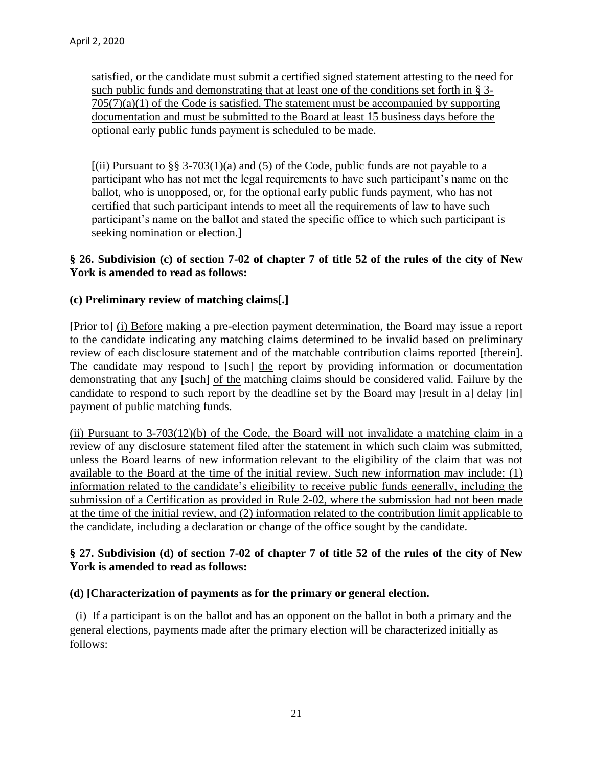satisfied, or the candidate must submit a certified signed statement attesting to the need for such public funds and demonstrating that at least one of the conditions set forth in § 3-  $705(7)(a)(1)$  of the Code is satisfied. The statement must be accompanied by supporting documentation and must be submitted to the Board at least 15 business days before the optional early public funds payment is scheduled to be made.

 $[(ii)$  Pursuant to §§ 3-703(1)(a) and (5) of the Code, public funds are not payable to a participant who has not met the legal requirements to have such participant's name on the ballot, who is unopposed, or, for the optional early public funds payment, who has not certified that such participant intends to meet all the requirements of law to have such participant's name on the ballot and stated the specific office to which such participant is seeking nomination or election.]

## **§ 26. Subdivision (c) of section 7-02 of chapter 7 of title 52 of the rules of the city of New York is amended to read as follows:**

## **(c) Preliminary review of matching claims[.]**

**[**Prior to] (i) Before making a pre-election payment determination, the Board may issue a report to the candidate indicating any matching claims determined to be invalid based on preliminary review of each disclosure statement and of the matchable contribution claims reported [therein]. The candidate may respond to [such] the report by providing information or documentation demonstrating that any [such] of the matching claims should be considered valid. Failure by the candidate to respond to such report by the deadline set by the Board may [result in a] delay [in] payment of public matching funds.

(ii) Pursuant to  $3-703(12)$ (b) of the Code, the Board will not invalidate a matching claim in a review of any disclosure statement filed after the statement in which such claim was submitted, unless the Board learns of new information relevant to the eligibility of the claim that was not available to the Board at the time of the initial review. Such new information may include: (1) information related to the candidate's eligibility to receive public funds generally, including the submission of a Certification as provided in Rule 2-02, where the submission had not been made at the time of the initial review, and (2) information related to the contribution limit applicable to the candidate, including a declaration or change of the office sought by the candidate.

## **§ 27. Subdivision (d) of section 7-02 of chapter 7 of title 52 of the rules of the city of New York is amended to read as follows:**

## **(d) [Characterization of payments as for the primary or general election.**

 (i) If a participant is on the ballot and has an opponent on the ballot in both a primary and the general elections, payments made after the primary election will be characterized initially as follows: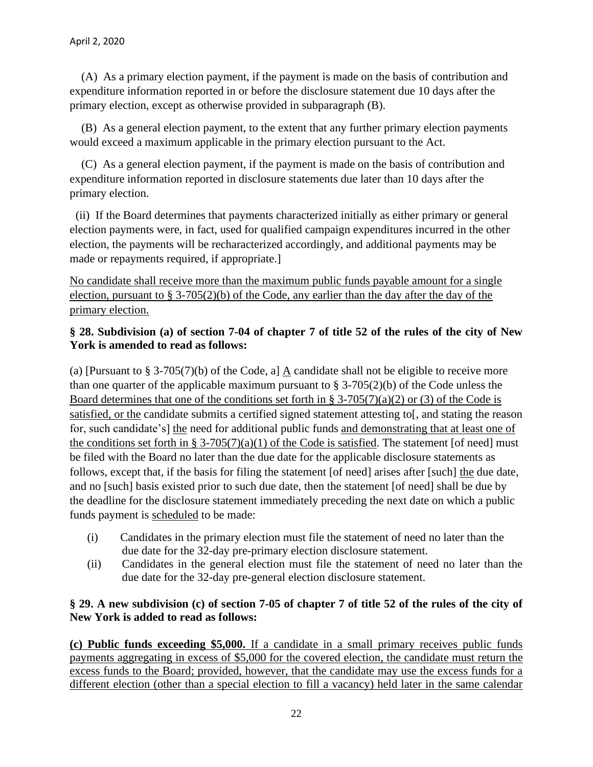(A) As a primary election payment, if the payment is made on the basis of contribution and expenditure information reported in or before the disclosure statement due 10 days after the primary election, except as otherwise provided in subparagraph (B).

 (B) As a general election payment, to the extent that any further primary election payments would exceed a maximum applicable in the primary election pursuant to the Act.

 (C) As a general election payment, if the payment is made on the basis of contribution and expenditure information reported in disclosure statements due later than 10 days after the primary election.

 (ii) If the Board determines that payments characterized initially as either primary or general election payments were, in fact, used for qualified campaign expenditures incurred in the other election, the payments will be recharacterized accordingly, and additional payments may be made or repayments required, if appropriate.]

No candidate shall receive more than the maximum public funds payable amount for a single election, pursuant to § 3-705(2)(b) of the Code, any earlier than the day after the day of the primary election.

## **§ 28. Subdivision (a) of section 7-04 of chapter 7 of title 52 of the rules of the city of New York is amended to read as follows:**

(a) [Pursuant to § 3-705(7)(b) of the Code, a]  $\underline{A}$  candidate shall not be eligible to receive more than one quarter of the applicable maximum pursuant to  $\S 3-705(2)(b)$  of the Code unless the Board determines that one of the conditions set forth in § 3-705(7)(a)(2) or (3) of the Code is satisfied, or the candidate submits a certified signed statement attesting to and stating the reason for, such candidate's] the need for additional public funds and demonstrating that at least one of the conditions set forth in § 3-705(7)(a)(1) of the Code is satisfied. The statement [of need] must be filed with the Board no later than the due date for the applicable disclosure statements as follows, except that, if the basis for filing the statement [of need] arises after [such] the due date, and no [such] basis existed prior to such due date, then the statement [of need] shall be due by the deadline for the disclosure statement immediately preceding the next date on which a public funds payment is scheduled to be made:

- (i) Candidates in the primary election must file the statement of need no later than the due date for the 32-day pre-primary election disclosure statement.
- (ii) Candidates in the general election must file the statement of need no later than the due date for the 32-day pre-general election disclosure statement.

## **§ 29. A new subdivision (c) of section 7-05 of chapter 7 of title 52 of the rules of the city of New York is added to read as follows:**

**(c) Public funds exceeding \$5,000.** If a candidate in a small primary receives public funds payments aggregating in excess of \$5,000 for the covered election, the candidate must return the excess funds to the Board; provided, however, that the candidate may use the excess funds for a different election (other than a special election to fill a vacancy) held later in the same calendar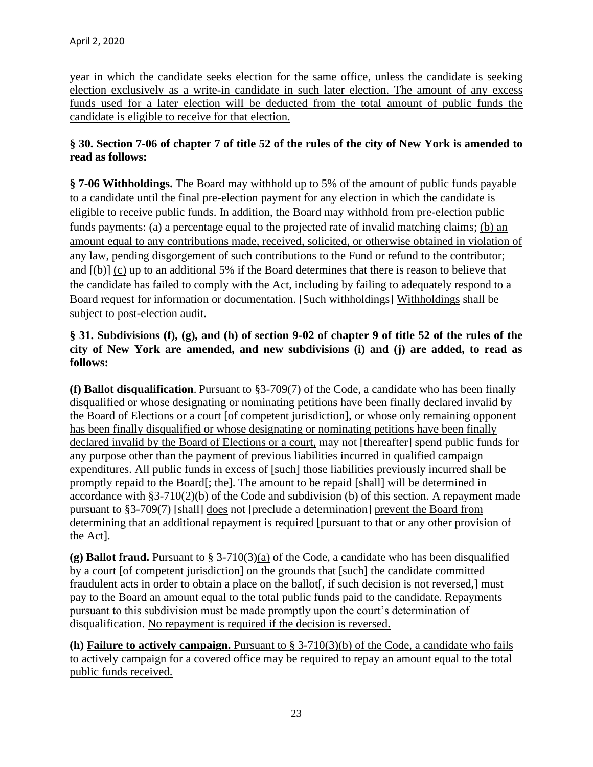year in which the candidate seeks election for the same office, unless the candidate is seeking election exclusively as a write-in candidate in such later election. The amount of any excess funds used for a later election will be deducted from the total amount of public funds the candidate is eligible to receive for that election.

## **§ 30. Section 7-06 of chapter 7 of title 52 of the rules of the city of New York is amended to read as follows:**

**§ 7-06 Withholdings.** The Board may withhold up to 5% of the amount of public funds payable to a candidate until the final pre-election payment for any election in which the candidate is eligible to receive public funds. In addition, the Board may withhold from pre-election public funds payments: (a) a percentage equal to the projected rate of invalid matching claims; (b) an amount equal to any contributions made, received, solicited, or otherwise obtained in violation of any law, pending disgorgement of such contributions to the Fund or refund to the contributor; and [(b)] (c) up to an additional 5% if the Board determines that there is reason to believe that the candidate has failed to comply with the Act, including by failing to adequately respond to a Board request for information or documentation. [Such withholdings] Withholdings shall be subject to post-election audit.

## **§ 31. Subdivisions (f), (g), and (h) of section 9-02 of chapter 9 of title 52 of the rules of the city of New York are amended, and new subdivisions (i) and (j) are added, to read as follows:**

**(f) Ballot disqualification**. Pursuant to §3-709(7) of the Code, a candidate who has been finally disqualified or whose designating or nominating petitions have been finally declared invalid by the Board of Elections or a court [of competent jurisdiction], or whose only remaining opponent has been finally disqualified or whose designating or nominating petitions have been finally declared invalid by the Board of Elections or a court, may not [thereafter] spend public funds for any purpose other than the payment of previous liabilities incurred in qualified campaign expenditures. All public funds in excess of [such] those liabilities previously incurred shall be promptly repaid to the Board[; the]. The amount to be repaid [shall] will be determined in accordance with §3-710(2)(b) of the Code and subdivision (b) of this section. A repayment made pursuant to §3-709(7) [shall] does not [preclude a determination] prevent the Board from determining that an additional repayment is required [pursuant to that or any other provision of the Act].

**(g) Ballot fraud.** Pursuant to § 3-710(3)(a) of the Code, a candidate who has been disqualified by a court [of competent jurisdiction] on the grounds that [such] the candidate committed fraudulent acts in order to obtain a place on the ballot<sup>[</sup>, if such decision is not reversed,] must pay to the Board an amount equal to the total public funds paid to the candidate. Repayments pursuant to this subdivision must be made promptly upon the court's determination of disqualification. No repayment is required if the decision is reversed.

**(h) Failure to actively campaign.** Pursuant to § 3-710(3)(b) of the Code, a candidate who fails to actively campaign for a covered office may be required to repay an amount equal to the total public funds received.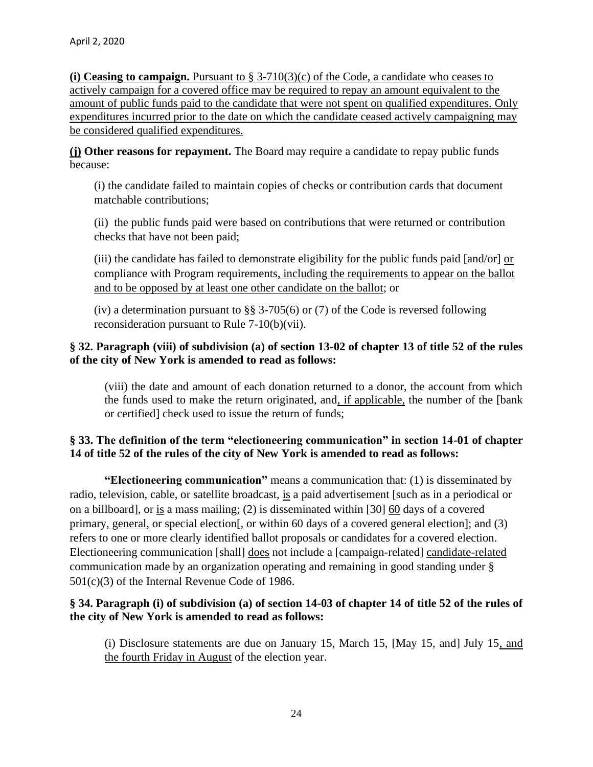**(i) Ceasing to campaign.** Pursuant to § 3-710(3)(c) of the Code, a candidate who ceases to actively campaign for a covered office may be required to repay an amount equivalent to the amount of public funds paid to the candidate that were not spent on qualified expenditures. Only expenditures incurred prior to the date on which the candidate ceased actively campaigning may be considered qualified expenditures.

**(j) Other reasons for repayment.** The Board may require a candidate to repay public funds because:

(i) the candidate failed to maintain copies of checks or contribution cards that document matchable contributions;

(ii) the public funds paid were based on contributions that were returned or contribution checks that have not been paid;

(iii) the candidate has failed to demonstrate eligibility for the public funds paid  $[and/or]$  or compliance with Program requirements, including the requirements to appear on the ballot and to be opposed by at least one other candidate on the ballot; or

(iv) a determination pursuant to §§ 3-705(6) or (7) of the Code is reversed following reconsideration pursuant to Rule 7-10(b)(vii).

## **§ 32. Paragraph (viii) of subdivision (a) of section 13-02 of chapter 13 of title 52 of the rules of the city of New York is amended to read as follows:**

(viii) the date and amount of each donation returned to a donor, the account from which the funds used to make the return originated, and, if applicable, the number of the [bank or certified] check used to issue the return of funds;

## **§ 33. The definition of the term "electioneering communication" in section 14-01 of chapter 14 of title 52 of the rules of the city of New York is amended to read as follows:**

**"Electioneering communication"** means a communication that: (1) is disseminated by radio, television, cable, or satellite broadcast, is a paid advertisement [such as in a periodical or on a billboard], or is a mass mailing; (2) is disseminated within [30] 60 days of a covered primary, general, or special election[, or within 60 days of a covered general election]; and (3) refers to one or more clearly identified ballot proposals or candidates for a covered election. Electioneering communication [shall] does not include a [campaign-related] candidate-related communication made by an organization operating and remaining in good standing under § 501(c)(3) of the Internal Revenue Code of 1986.

## **§ 34. Paragraph (i) of subdivision (a) of section 14-03 of chapter 14 of title 52 of the rules of the city of New York is amended to read as follows:**

(i) Disclosure statements are due on January 15, March 15, [May 15, and] July 15, and the fourth Friday in August of the election year.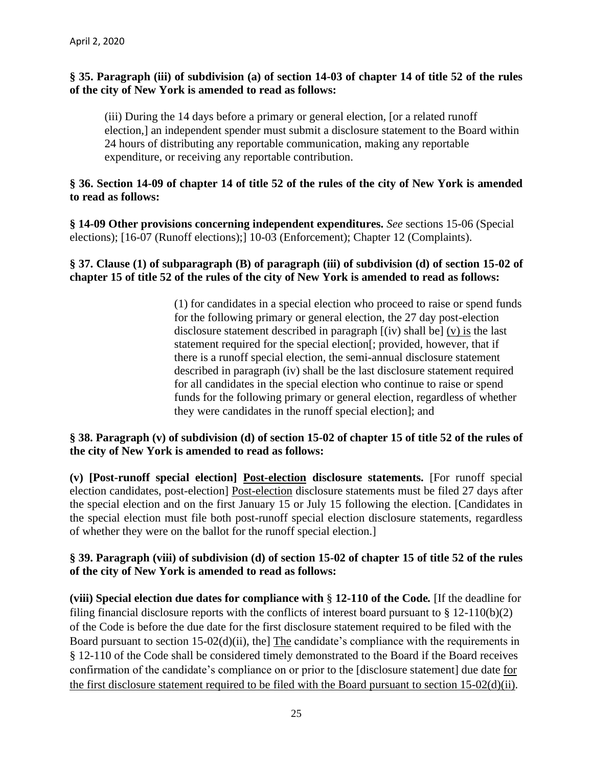### **§ 35. Paragraph (iii) of subdivision (a) of section 14-03 of chapter 14 of title 52 of the rules of the city of New York is amended to read as follows:**

(iii) During the 14 days before a primary or general election, [or a related runoff election,] an independent spender must submit a disclosure statement to the Board within 24 hours of distributing any reportable communication, making any reportable expenditure, or receiving any reportable contribution.

### **§ 36. Section 14-09 of chapter 14 of title 52 of the rules of the city of New York is amended to read as follows:**

**§ 14-09 Other provisions concerning independent expenditures.** *See* sections 15-06 (Special elections); [16-07 (Runoff elections);] 10-03 (Enforcement); Chapter 12 (Complaints).

#### **§ 37. Clause (1) of subparagraph (B) of paragraph (iii) of subdivision (d) of section 15-02 of chapter 15 of title 52 of the rules of the city of New York is amended to read as follows:**

(1) for candidates in a special election who proceed to raise or spend funds for the following primary or general election, the 27 day post-election disclosure statement described in paragraph [(iv) shall be] (v) is the last statement required for the special election[; provided, however, that if there is a runoff special election, the semi-annual disclosure statement described in paragraph (iv) shall be the last disclosure statement required for all candidates in the special election who continue to raise or spend funds for the following primary or general election, regardless of whether they were candidates in the runoff special election]; and

### **§ 38. Paragraph (v) of subdivision (d) of section 15-02 of chapter 15 of title 52 of the rules of the city of New York is amended to read as follows:**

**(v) [Post-runoff special election] Post-election disclosure statements.** [For runoff special election candidates, post-election] Post-election disclosure statements must be filed 27 days after the special election and on the first January 15 or July 15 following the election. [Candidates in the special election must file both post-runoff special election disclosure statements, regardless of whether they were on the ballot for the runoff special election.]

### **§ 39. Paragraph (viii) of subdivision (d) of section 15-02 of chapter 15 of title 52 of the rules of the city of New York is amended to read as follows:**

**(viii) Special election due dates for compliance with** § **12-110 of the Code***.* [If the deadline for filing financial disclosure reports with the conflicts of interest board pursuant to § 12-110(b)(2) of the Code is before the due date for the first disclosure statement required to be filed with the Board pursuant to section 15-02(d)(ii), the] The candidate's compliance with the requirements in § 12-110 of the Code shall be considered timely demonstrated to the Board if the Board receives confirmation of the candidate's compliance on or prior to the [disclosure statement] due date for the first disclosure statement required to be filed with the Board pursuant to section 15-02(d)(ii).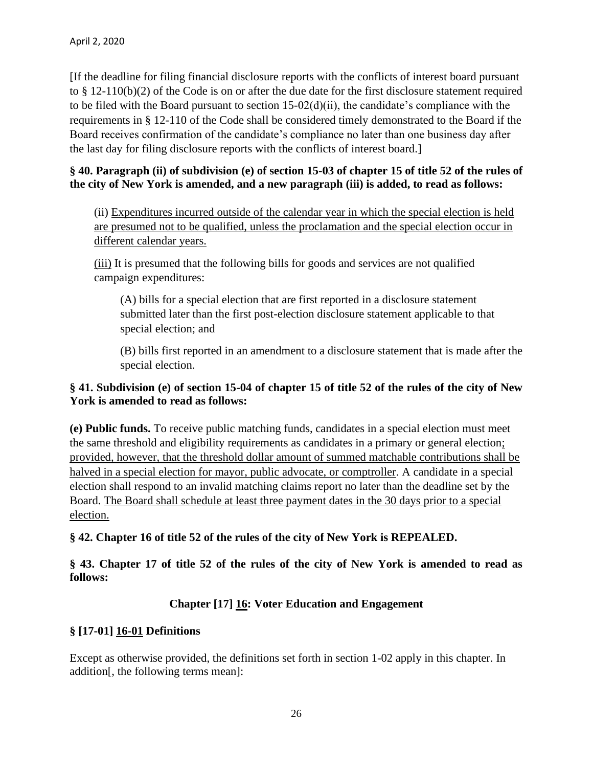[If the deadline for filing financial disclosure reports with the conflicts of interest board pursuant to § 12-110(b)(2) of the Code is on or after the due date for the first disclosure statement required to be filed with the Board pursuant to section  $15-02(d)(ii)$ , the candidate's compliance with the requirements in § 12-110 of the Code shall be considered timely demonstrated to the Board if the Board receives confirmation of the candidate's compliance no later than one business day after the last day for filing disclosure reports with the conflicts of interest board.]

## **§ 40. Paragraph (ii) of subdivision (e) of section 15-03 of chapter 15 of title 52 of the rules of the city of New York is amended, and a new paragraph (iii) is added, to read as follows:**

(ii) Expenditures incurred outside of the calendar year in which the special election is held are presumed not to be qualified, unless the proclamation and the special election occur in different calendar years.

(iii) It is presumed that the following bills for goods and services are not qualified campaign expenditures:

(A) bills for a special election that are first reported in a disclosure statement submitted later than the first post-election disclosure statement applicable to that special election; and

(B) bills first reported in an amendment to a disclosure statement that is made after the special election.

## **§ 41. Subdivision (e) of section 15-04 of chapter 15 of title 52 of the rules of the city of New York is amended to read as follows:**

**(e) Public funds.** To receive public matching funds, candidates in a special election must meet the same threshold and eligibility requirements as candidates in a primary or general election; provided, however, that the threshold dollar amount of summed matchable contributions shall be halved in a special election for mayor, public advocate, or comptroller. A candidate in a special election shall respond to an invalid matching claims report no later than the deadline set by the Board. The Board shall schedule at least three payment dates in the 30 days prior to a special election.

**§ 42. Chapter 16 of title 52 of the rules of the city of New York is REPEALED.**

**§ 43. Chapter 17 of title 52 of the rules of the city of New York is amended to read as follows:**

## **Chapter [17] 16: Voter Education and Engagement**

## **§ [17-01] 16-01 Definitions**

Except as otherwise provided, the definitions set forth in section 1-02 apply in this chapter. In addition[, the following terms mean]: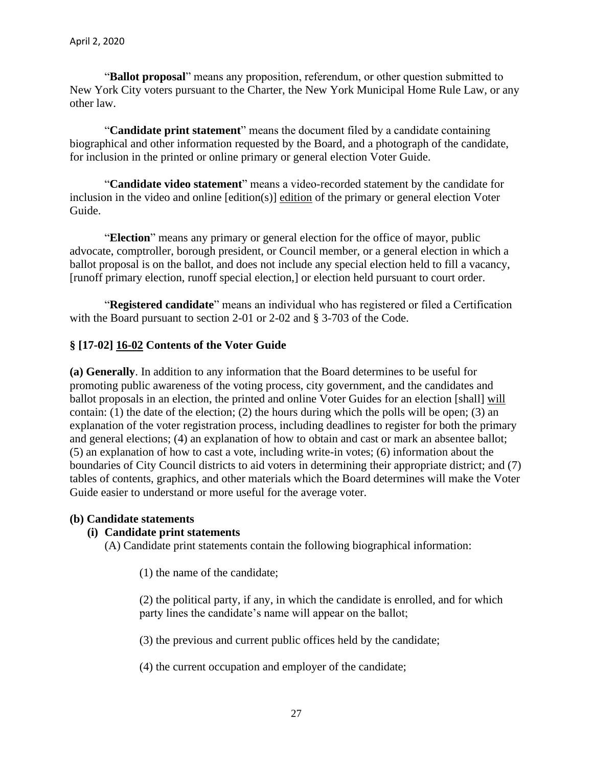"**Ballot proposal**" means any proposition, referendum, or other question submitted to New York City voters pursuant to the Charter, the New York Municipal Home Rule Law, or any other law.

"**Candidate print statement**" means the document filed by a candidate containing biographical and other information requested by the Board, and a photograph of the candidate, for inclusion in the printed or online primary or general election Voter Guide.

"**Candidate video statement**" means a video-recorded statement by the candidate for inclusion in the video and online [edition(s)] edition of the primary or general election Voter Guide.

"**Election**" means any primary or general election for the office of mayor, public advocate, comptroller, borough president, or Council member, or a general election in which a ballot proposal is on the ballot, and does not include any special election held to fill a vacancy, [runoff primary election, runoff special election,] or election held pursuant to court order.

"**Registered candidate**" means an individual who has registered or filed a Certification with the Board pursuant to section 2-01 or 2-02 and § 3-703 of the Code.

## **§ [17-02] 16-02 Contents of the Voter Guide**

**(a) Generally**. In addition to any information that the Board determines to be useful for promoting public awareness of the voting process, city government, and the candidates and ballot proposals in an election, the printed and online Voter Guides for an election [shall] will contain: (1) the date of the election; (2) the hours during which the polls will be open; (3) an explanation of the voter registration process, including deadlines to register for both the primary and general elections; (4) an explanation of how to obtain and cast or mark an absentee ballot; (5) an explanation of how to cast a vote, including write-in votes; (6) information about the boundaries of City Council districts to aid voters in determining their appropriate district; and (7) tables of contents, graphics, and other materials which the Board determines will make the Voter Guide easier to understand or more useful for the average voter.

#### **(b) Candidate statements**

#### **(i) Candidate print statements**

(A) Candidate print statements contain the following biographical information:

(1) the name of the candidate;

(2) the political party, if any, in which the candidate is enrolled, and for which party lines the candidate's name will appear on the ballot;

(3) the previous and current public offices held by the candidate;

(4) the current occupation and employer of the candidate;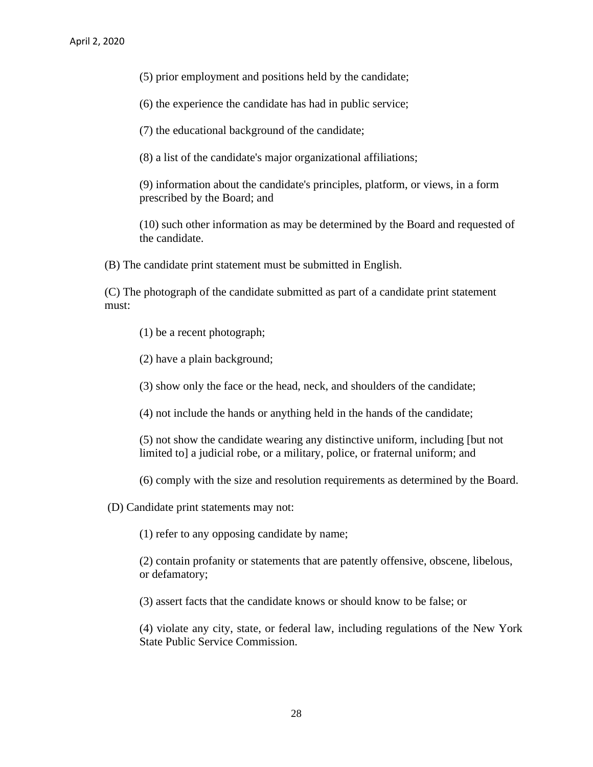(5) prior employment and positions held by the candidate;

(6) the experience the candidate has had in public service;

(7) the educational background of the candidate;

(8) a list of the candidate's major organizational affiliations;

(9) information about the candidate's principles, platform, or views, in a form prescribed by the Board; and

(10) such other information as may be determined by the Board and requested of the candidate.

(B) The candidate print statement must be submitted in English.

(C) The photograph of the candidate submitted as part of a candidate print statement must:

(1) be a recent photograph;

(2) have a plain background;

(3) show only the face or the head, neck, and shoulders of the candidate;

(4) not include the hands or anything held in the hands of the candidate;

(5) not show the candidate wearing any distinctive uniform, including [but not limited to] a judicial robe, or a military, police, or fraternal uniform; and

(6) comply with the size and resolution requirements as determined by the Board.

(D) Candidate print statements may not:

(1) refer to any opposing candidate by name;

(2) contain profanity or statements that are patently offensive, obscene, libelous, or defamatory;

(3) assert facts that the candidate knows or should know to be false; or

(4) violate any city, state, or federal law, including regulations of the New York State Public Service Commission.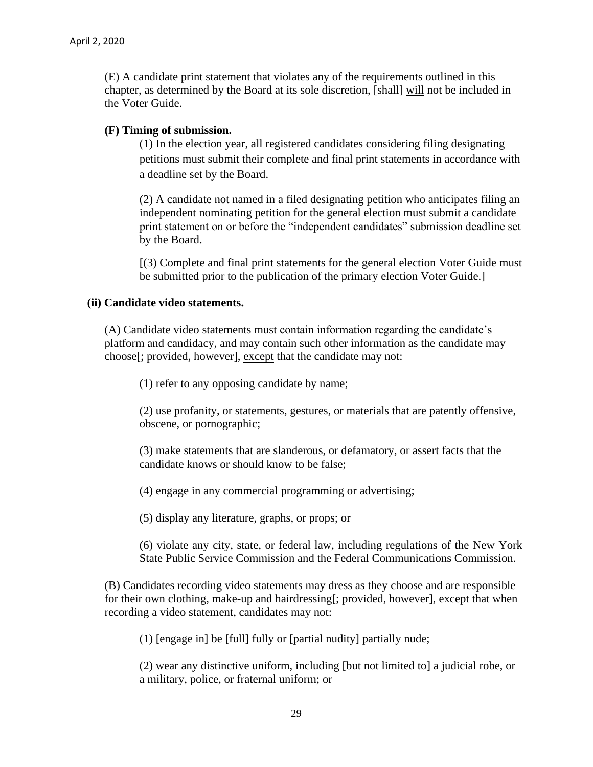(E) A candidate print statement that violates any of the requirements outlined in this chapter, as determined by the Board at its sole discretion, [shall] will not be included in the Voter Guide.

#### **(F) Timing of submission.**

(1) In the election year, all registered candidates considering filing designating petitions must submit their complete and final print statements in accordance with a deadline set by the Board.

(2) A candidate not named in a filed designating petition who anticipates filing an independent nominating petition for the general election must submit a candidate print statement on or before the "independent candidates" submission deadline set by the Board.

[(3) Complete and final print statements for the general election Voter Guide must be submitted prior to the publication of the primary election Voter Guide.]

#### **(ii) Candidate video statements.**

(A) Candidate video statements must contain information regarding the candidate's platform and candidacy, and may contain such other information as the candidate may choose[; provided, however], except that the candidate may not:

(1) refer to any opposing candidate by name;

(2) use profanity, or statements, gestures, or materials that are patently offensive, obscene, or pornographic;

(3) make statements that are slanderous, or defamatory, or assert facts that the candidate knows or should know to be false;

(4) engage in any commercial programming or advertising;

(5) display any literature, graphs, or props; or

(6) violate any city, state, or federal law, including regulations of the New York State Public Service Commission and the Federal Communications Commission.

(B) Candidates recording video statements may dress as they choose and are responsible for their own clothing, make-up and hairdressing[; provided, however], except that when recording a video statement, candidates may not:

(1) [engage in] be [full] fully or [partial nudity] partially nude;

(2) wear any distinctive uniform, including [but not limited to] a judicial robe, or a military, police, or fraternal uniform; or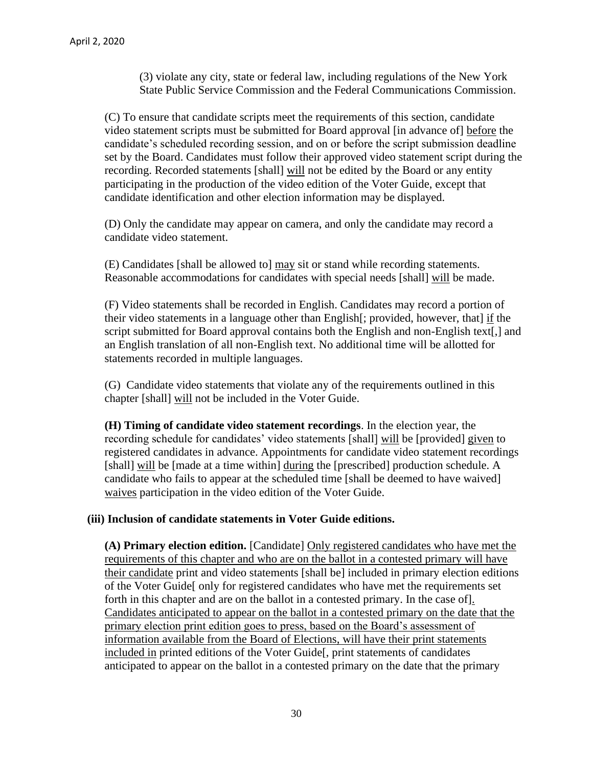(3) violate any city, state or federal law, including regulations of the New York State Public Service Commission and the Federal Communications Commission.

(C) To ensure that candidate scripts meet the requirements of this section, candidate video statement scripts must be submitted for Board approval [in advance of] before the candidate's scheduled recording session, and on or before the script submission deadline set by the Board. Candidates must follow their approved video statement script during the recording. Recorded statements [shall] will not be edited by the Board or any entity participating in the production of the video edition of the Voter Guide, except that candidate identification and other election information may be displayed.

(D) Only the candidate may appear on camera, and only the candidate may record a candidate video statement.

(E) Candidates [shall be allowed to] may sit or stand while recording statements. Reasonable accommodations for candidates with special needs [shall] will be made.

(F) Video statements shall be recorded in English. Candidates may record a portion of their video statements in a language other than English[; provided, however, that] if the script submitted for Board approval contains both the English and non-English text[,] and an English translation of all non-English text. No additional time will be allotted for statements recorded in multiple languages.

(G) Candidate video statements that violate any of the requirements outlined in this chapter [shall] will not be included in the Voter Guide.

**(H) Timing of candidate video statement recordings**. In the election year, the recording schedule for candidates' video statements [shall] will be [provided] given to registered candidates in advance. Appointments for candidate video statement recordings [shall] will be [made at a time within] during the [prescribed] production schedule. A candidate who fails to appear at the scheduled time [shall be deemed to have waived] waives participation in the video edition of the Voter Guide.

## **(iii) Inclusion of candidate statements in Voter Guide editions.**

**(A) Primary election edition.** [Candidate] Only registered candidates who have met the requirements of this chapter and who are on the ballot in a contested primary will have their candidate print and video statements [shall be] included in primary election editions of the Voter Guide[ only for registered candidates who have met the requirements set forth in this chapter and are on the ballot in a contested primary. In the case of]. Candidates anticipated to appear on the ballot in a contested primary on the date that the primary election print edition goes to press, based on the Board's assessment of information available from the Board of Elections, will have their print statements included in printed editions of the Voter Guide[, print statements of candidates anticipated to appear on the ballot in a contested primary on the date that the primary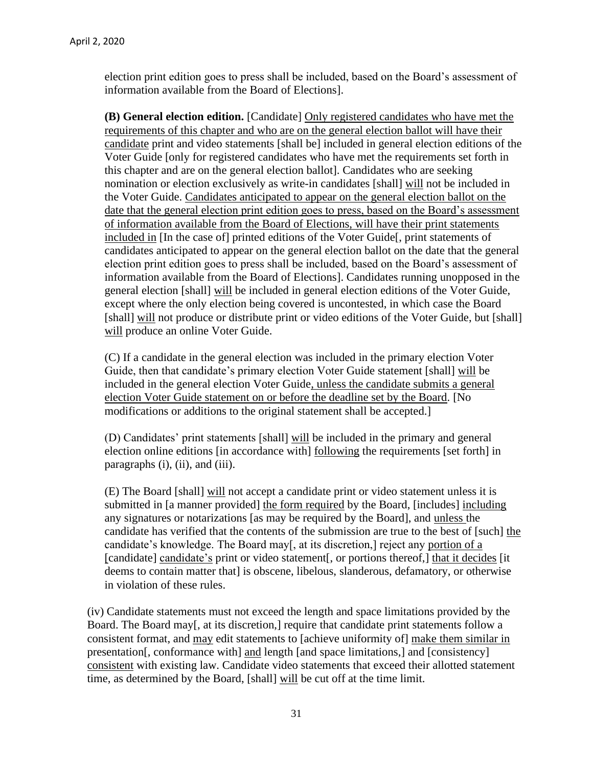election print edition goes to press shall be included, based on the Board's assessment of information available from the Board of Elections].

**(B) General election edition.** [Candidate] Only registered candidates who have met the requirements of this chapter and who are on the general election ballot will have their candidate print and video statements [shall be] included in general election editions of the Voter Guide [only for registered candidates who have met the requirements set forth in this chapter and are on the general election ballot]. Candidates who are seeking nomination or election exclusively as write-in candidates [shall] will not be included in the Voter Guide. Candidates anticipated to appear on the general election ballot on the date that the general election print edition goes to press, based on the Board's assessment of information available from the Board of Elections, will have their print statements included in [In the case of] printed editions of the Voter Guide[, print statements of candidates anticipated to appear on the general election ballot on the date that the general election print edition goes to press shall be included, based on the Board's assessment of information available from the Board of Elections]. Candidates running unopposed in the general election [shall] will be included in general election editions of the Voter Guide, except where the only election being covered is uncontested, in which case the Board [shall] will not produce or distribute print or video editions of the Voter Guide, but [shall] will produce an online Voter Guide.

(C) If a candidate in the general election was included in the primary election Voter Guide, then that candidate's primary election Voter Guide statement [shall] will be included in the general election Voter Guide, unless the candidate submits a general election Voter Guide statement on or before the deadline set by the Board. [No modifications or additions to the original statement shall be accepted.]

(D) Candidates' print statements [shall] will be included in the primary and general election online editions [in accordance with] following the requirements [set forth] in paragraphs (i), (ii), and (iii).

(E) The Board [shall] will not accept a candidate print or video statement unless it is submitted in [a manner provided] the form required by the Board, [includes] including any signatures or notarizations [as may be required by the Board], and unless the candidate has verified that the contents of the submission are true to the best of [such] the candidate's knowledge. The Board may[, at its discretion,] reject any portion of a [candidate] candidate's print or video statement[, or portions thereof,] that it decides [it deems to contain matter that] is obscene, libelous, slanderous, defamatory, or otherwise in violation of these rules.

(iv) Candidate statements must not exceed the length and space limitations provided by the Board. The Board may<sup>[</sup>, at its discretion,] require that candidate print statements follow a consistent format, and may edit statements to [achieve uniformity of] make them similar in presentation[, conformance with] and length [and space limitations,] and [consistency] consistent with existing law. Candidate video statements that exceed their allotted statement time, as determined by the Board, [shall] will be cut off at the time limit.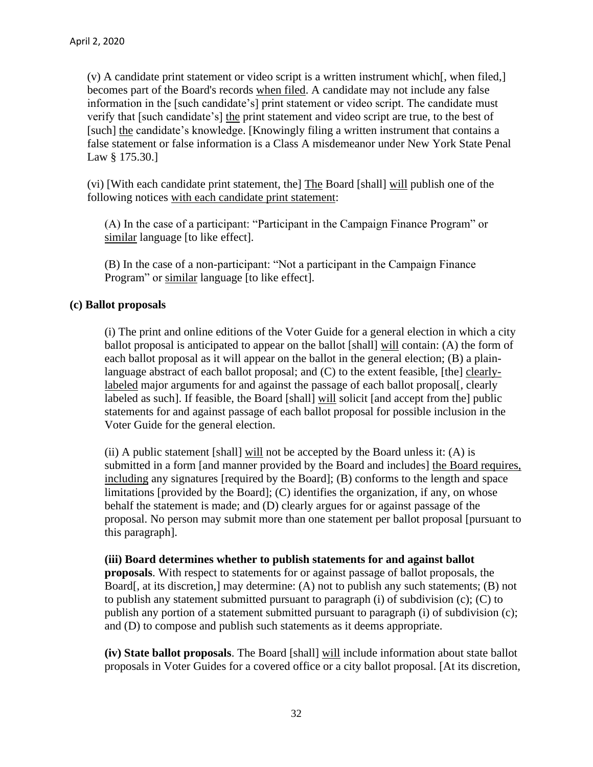(v) A candidate print statement or video script is a written instrument which[, when filed,] becomes part of the Board's records when filed. A candidate may not include any false information in the [such candidate's] print statement or video script. The candidate must verify that [such candidate's] the print statement and video script are true, to the best of [such] the candidate's knowledge. [Knowingly filing a written instrument that contains a false statement or false information is a Class A misdemeanor under New York State Penal Law § 175.30.]

(vi) [With each candidate print statement, the] The Board [shall] will publish one of the following notices with each candidate print statement:

(A) In the case of a participant: "Participant in the Campaign Finance Program" or similar language [to like effect].

(B) In the case of a non-participant: "Not a participant in the Campaign Finance Program" or similar language [to like effect].

## **(c) Ballot proposals**

(i) The print and online editions of the Voter Guide for a general election in which a city ballot proposal is anticipated to appear on the ballot [shall] will contain: (A) the form of each ballot proposal as it will appear on the ballot in the general election; (B) a plainlanguage abstract of each ballot proposal; and  $(C)$  to the extent feasible, [the] clearlylabeled major arguments for and against the passage of each ballot proposal. clearly labeled as such]. If feasible, the Board [shall] will solicit [and accept from the] public statements for and against passage of each ballot proposal for possible inclusion in the Voter Guide for the general election.

 $(i)$  A public statement [shall] will not be accepted by the Board unless it:  $(A)$  is submitted in a form [and manner provided by the Board and includes] the Board requires, including any signatures [required by the Board]; (B) conforms to the length and space limitations [provided by the Board]; (C) identifies the organization, if any, on whose behalf the statement is made; and (D) clearly argues for or against passage of the proposal. No person may submit more than one statement per ballot proposal [pursuant to this paragraph].

**(iii) Board determines whether to publish statements for and against ballot** 

**proposals**. With respect to statements for or against passage of ballot proposals, the Board[, at its discretion,] may determine: (A) not to publish any such statements; (B) not to publish any statement submitted pursuant to paragraph (i) of subdivision (c); (C) to publish any portion of a statement submitted pursuant to paragraph (i) of subdivision (c); and (D) to compose and publish such statements as it deems appropriate.

**(iv) State ballot proposals**. The Board [shall] will include information about state ballot proposals in Voter Guides for a covered office or a city ballot proposal. [At its discretion,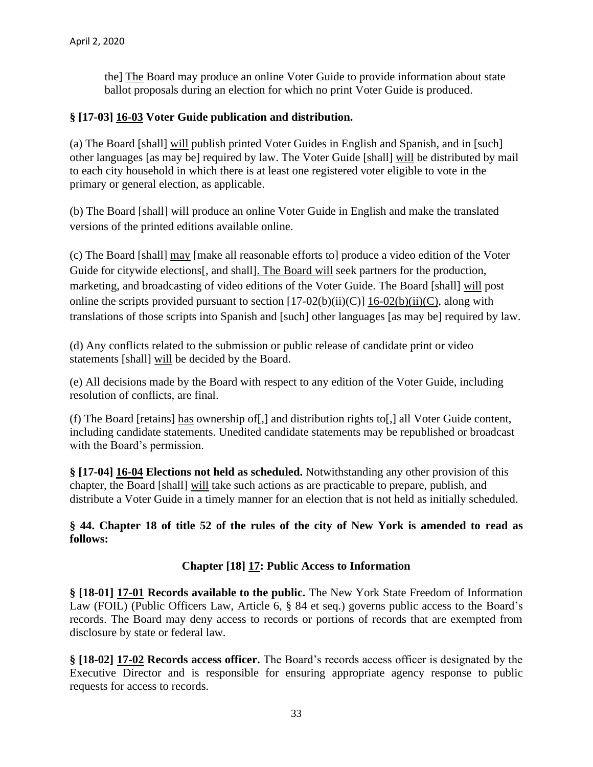the] The Board may produce an online Voter Guide to provide information about state ballot proposals during an election for which no print Voter Guide is produced.

### **§ [17-03] 16-03 Voter Guide publication and distribution.**

(a) The Board [shall] will publish printed Voter Guides in English and Spanish, and in [such] other languages [as may be] required by law. The Voter Guide [shall] will be distributed by mail to each city household in which there is at least one registered voter eligible to vote in the primary or general election, as applicable.

(b) The Board [shall] will produce an online Voter Guide in English and make the translated versions of the printed editions available online.

(c) The Board [shall] may [make all reasonable efforts to] produce a video edition of the Voter Guide for citywide elections[, and shall]. The Board will seek partners for the production, marketing, and broadcasting of video editions of the Voter Guide. The Board [shall] will post online the scripts provided pursuant to section  $[17-02(b)(ii)(C)]$  16-02(b)(ii)(C), along with translations of those scripts into Spanish and [such] other languages [as may be] required by law.

(d) Any conflicts related to the submission or public release of candidate print or video statements [shall] will be decided by the Board.

(e) All decisions made by the Board with respect to any edition of the Voter Guide, including resolution of conflicts, are final.

(f) The Board [retains] has ownership of[,] and distribution rights to[,] all Voter Guide content, including candidate statements. Unedited candidate statements may be republished or broadcast with the Board's permission.

**§ [17-04] 16-04 Elections not held as scheduled.** Notwithstanding any other provision of this chapter, the Board [shall] will take such actions as are practicable to prepare, publish, and distribute a Voter Guide in a timely manner for an election that is not held as initially scheduled.

**§ 44. Chapter 18 of title 52 of the rules of the city of New York is amended to read as follows:**

#### **Chapter [18] 17: Public Access to Information**

**§ [18-01] 17-01 Records available to the public.** The New York State Freedom of Information Law (FOIL) (Public Officers Law, Article 6, § 84 et seq.) governs public access to the Board's records. The Board may deny access to records or portions of records that are exempted from disclosure by state or federal law.

**§ [18-02] 17-02 Records access officer.** The Board's records access officer is designated by the Executive Director and is responsible for ensuring appropriate agency response to public requests for access to records.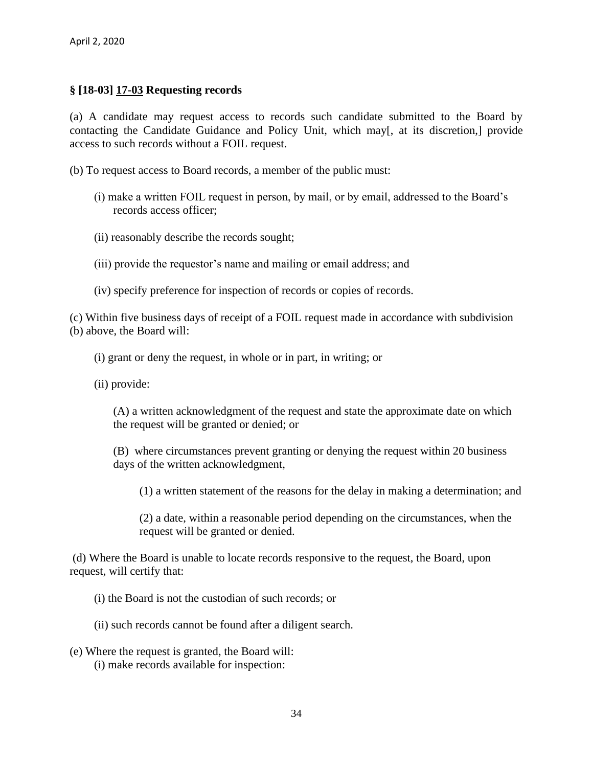### **§ [18-03] 17-03 Requesting records**

(a) A candidate may request access to records such candidate submitted to the Board by contacting the Candidate Guidance and Policy Unit, which may[, at its discretion,] provide access to such records without a FOIL request.

(b) To request access to Board records, a member of the public must:

- (i) make a written FOIL request in person, by mail, or by email, addressed to the Board's records access officer;
- (ii) reasonably describe the records sought;
- (iii) provide the requestor's name and mailing or email address; and
- (iv) specify preference for inspection of records or copies of records.

(c) Within five business days of receipt of a FOIL request made in accordance with subdivision (b) above, the Board will:

(i) grant or deny the request, in whole or in part, in writing; or

(ii) provide:

(A) a written acknowledgment of the request and state the approximate date on which the request will be granted or denied; or

(B) where circumstances prevent granting or denying the request within 20 business days of the written acknowledgment,

(1) a written statement of the reasons for the delay in making a determination; and

(2) a date, within a reasonable period depending on the circumstances, when the request will be granted or denied.

(d) Where the Board is unable to locate records responsive to the request, the Board, upon request, will certify that:

(i) the Board is not the custodian of such records; or

(ii) such records cannot be found after a diligent search.

(e) Where the request is granted, the Board will: (i) make records available for inspection: